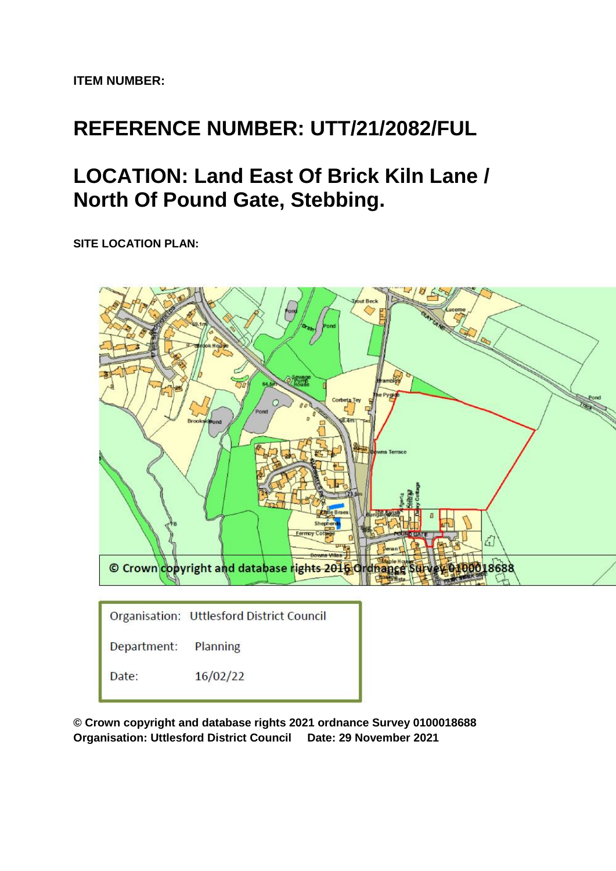**ITEM NUMBER:**

# **REFERENCE NUMBER: UTT/21/2082/FUL**

# **LOCATION: Land East Of Brick Kiln Lane / North Of Pound Gate, Stebbing.**

**SITE LOCATION PLAN:**



**© Crown copyright and database rights 2021 ordnance Survey 0100018688 Organisation: Uttlesford District Council Date: 29 November 2021**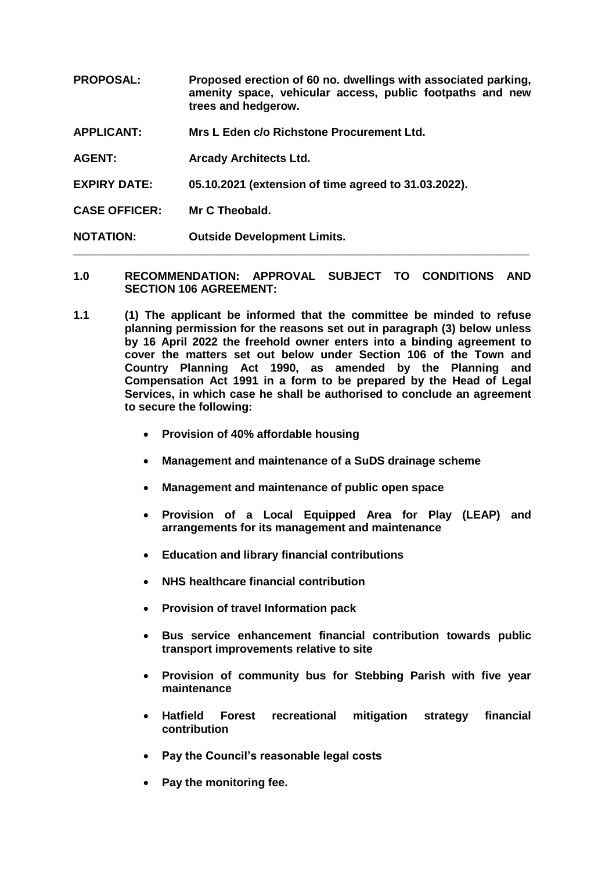**PROPOSAL: Proposed erection of 60 no. dwellings with associated parking, amenity space, vehicular access, public footpaths and new trees and hedgerow.**

**APPLICANT: Mrs L Eden c/o Richstone Procurement Ltd.**

**AGENT: Arcady Architects Ltd.**

**EXPIRY DATE: 05.10.2021 (extension of time agreed to 31.03.2022).**

**CASE OFFICER: Mr C Theobald.**

**NOTATION: Outside Development Limits.**

**1.0 RECOMMENDATION: APPROVAL SUBJECT TO CONDITIONS AND SECTION 106 AGREEMENT:**

**\_\_\_\_\_\_\_\_\_\_\_\_\_\_\_\_\_\_\_\_\_\_\_\_\_\_\_\_\_\_\_\_\_\_\_\_\_\_\_\_\_\_\_\_\_\_\_\_\_\_\_\_\_\_\_\_\_\_\_\_\_\_\_\_\_\_\_\_\_\_\_\_**

- **1.1 (1) The applicant be informed that the committee be minded to refuse planning permission for the reasons set out in paragraph (3) below unless by 16 April 2022 the freehold owner enters into a binding agreement to cover the matters set out below under Section 106 of the Town and Country Planning Act 1990, as amended by the Planning and Compensation Act 1991 in a form to be prepared by the Head of Legal Services, in which case he shall be authorised to conclude an agreement to secure the following:**
	- **Provision of 40% affordable housing**
	- **Management and maintenance of a SuDS drainage scheme**
	- **Management and maintenance of public open space**
	- **Provision of a Local Equipped Area for Play (LEAP) and arrangements for its management and maintenance**
	- **Education and library financial contributions**
	- **NHS healthcare financial contribution**
	- **Provision of travel Information pack**
	- **Bus service enhancement financial contribution towards public transport improvements relative to site**
	- **Provision of community bus for Stebbing Parish with five year maintenance**
	- **Hatfield Forest recreational mitigation strategy financial contribution**
	- **Pay the Council's reasonable legal costs**
	- **Pay the monitoring fee.**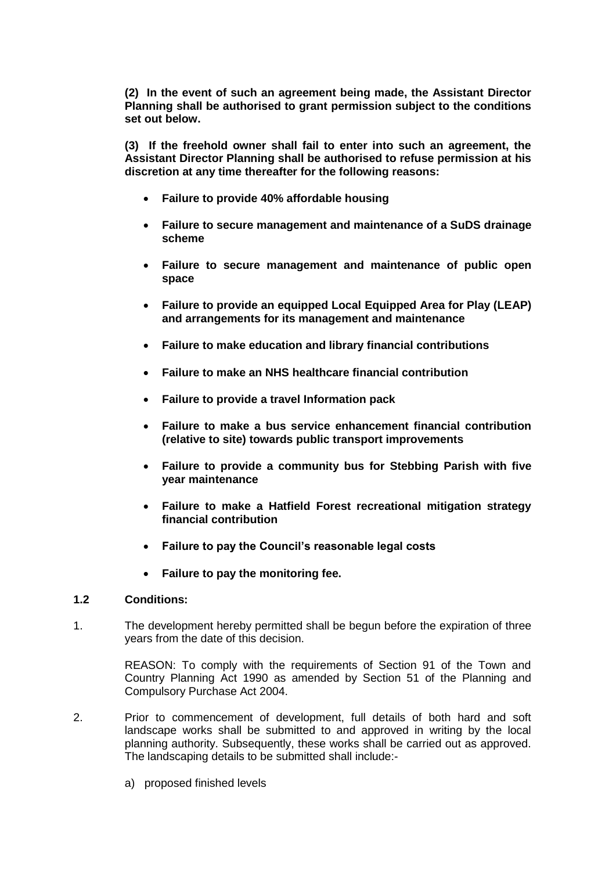**(2) In the event of such an agreement being made, the Assistant Director Planning shall be authorised to grant permission subject to the conditions set out below.** 

**(3) If the freehold owner shall fail to enter into such an agreement, the Assistant Director Planning shall be authorised to refuse permission at his discretion at any time thereafter for the following reasons:**

- **Failure to provide 40% affordable housing**
- **Failure to secure management and maintenance of a SuDS drainage scheme**
- **Failure to secure management and maintenance of public open space**
- **Failure to provide an equipped Local Equipped Area for Play (LEAP) and arrangements for its management and maintenance**
- **Failure to make education and library financial contributions**
- **Failure to make an NHS healthcare financial contribution**
- **Failure to provide a travel Information pack**
- **Failure to make a bus service enhancement financial contribution (relative to site) towards public transport improvements**
- **Failure to provide a community bus for Stebbing Parish with five year maintenance**
- **Failure to make a Hatfield Forest recreational mitigation strategy financial contribution**
- **Failure to pay the Council's reasonable legal costs**
- **Failure to pay the monitoring fee.**

## **1.2 Conditions:**

1. The development hereby permitted shall be begun before the expiration of three years from the date of this decision.

> REASON: To comply with the requirements of Section 91 of the Town and Country Planning Act 1990 as amended by Section 51 of the Planning and Compulsory Purchase Act 2004.

- 2. Prior to commencement of development, full details of both hard and soft landscape works shall be submitted to and approved in writing by the local planning authority. Subsequently, these works shall be carried out as approved. The landscaping details to be submitted shall include:
	- a) proposed finished levels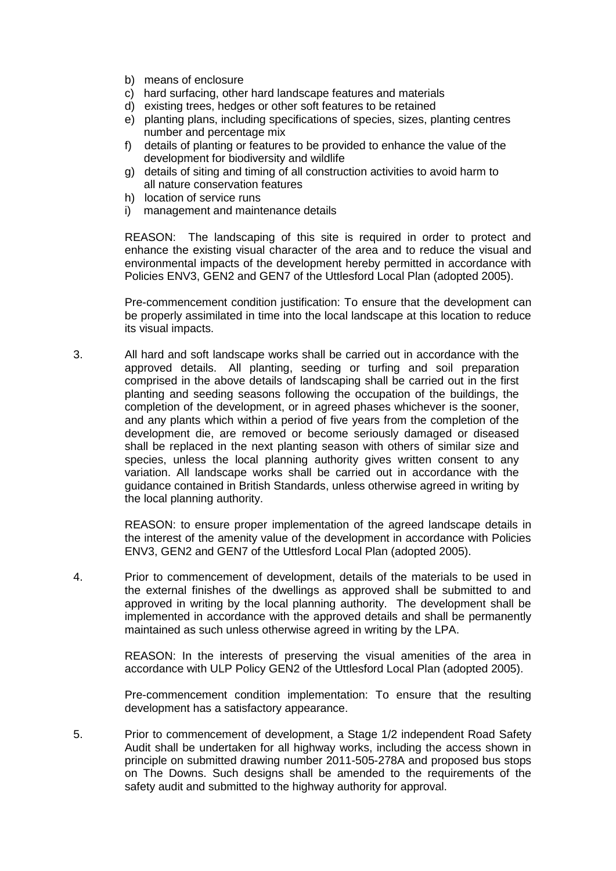- b) means of enclosure
- c) hard surfacing, other hard landscape features and materials
- d) existing trees, hedges or other soft features to be retained
- e) planting plans, including specifications of species, sizes, planting centres number and percentage mix
- f) details of planting or features to be provided to enhance the value of the development for biodiversity and wildlife
- g) details of siting and timing of all construction activities to avoid harm to all nature conservation features
- h) location of service runs
- i) management and maintenance details

REASON: The landscaping of this site is required in order to protect and enhance the existing visual character of the area and to reduce the visual and environmental impacts of the development hereby permitted in accordance with Policies ENV3, GEN2 and GEN7 of the Uttlesford Local Plan (adopted 2005).

Pre-commencement condition justification: To ensure that the development can be properly assimilated in time into the local landscape at this location to reduce its visual impacts.

3. All hard and soft landscape works shall be carried out in accordance with the approved details. All planting, seeding or turfing and soil preparation comprised in the above details of landscaping shall be carried out in the first planting and seeding seasons following the occupation of the buildings, the completion of the development, or in agreed phases whichever is the sooner, and any plants which within a period of five years from the completion of the development die, are removed or become seriously damaged or diseased shall be replaced in the next planting season with others of similar size and species, unless the local planning authority gives written consent to any variation. All landscape works shall be carried out in accordance with the guidance contained in British Standards, unless otherwise agreed in writing by the local planning authority.

> REASON: to ensure proper implementation of the agreed landscape details in the interest of the amenity value of the development in accordance with Policies ENV3, GEN2 and GEN7 of the Uttlesford Local Plan (adopted 2005).

4. Prior to commencement of development, details of the materials to be used in the external finishes of the dwellings as approved shall be submitted to and approved in writing by the local planning authority. The development shall be implemented in accordance with the approved details and shall be permanently maintained as such unless otherwise agreed in writing by the LPA.

> REASON: In the interests of preserving the visual amenities of the area in accordance with ULP Policy GEN2 of the Uttlesford Local Plan (adopted 2005).

> Pre-commencement condition implementation: To ensure that the resulting development has a satisfactory appearance.

5. Prior to commencement of development, a Stage 1/2 independent Road Safety Audit shall be undertaken for all highway works, including the access shown in principle on submitted drawing number 2011-505-278A and proposed bus stops on The Downs. Such designs shall be amended to the requirements of the safety audit and submitted to the highway authority for approval.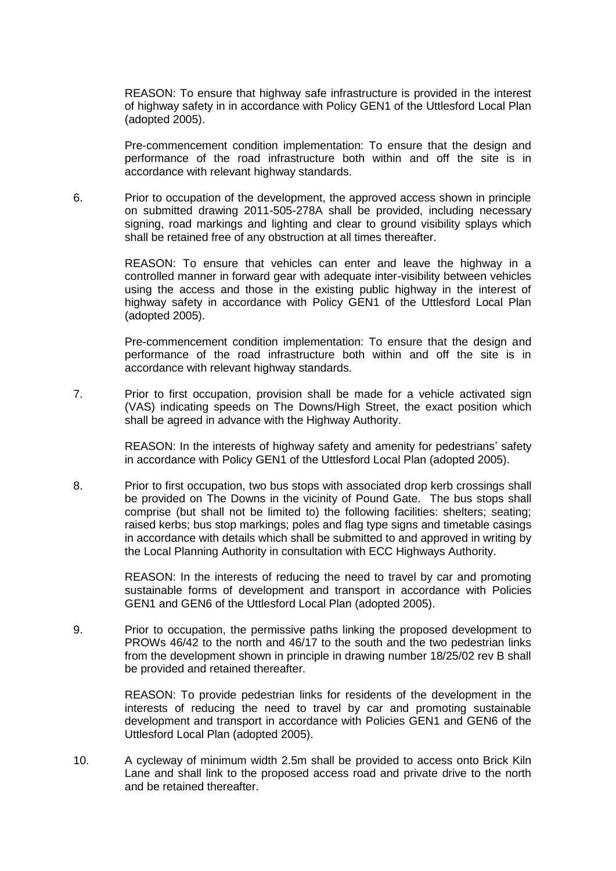REASON: To ensure that highway safe infrastructure is provided in the interest of highway safety in in accordance with Policy GEN1 of the Uttlesford Local Plan (adopted 2005).

Pre-commencement condition implementation: To ensure that the design and performance of the road infrastructure both within and off the site is in accordance with relevant highway standards.

6. Prior to occupation of the development, the approved access shown in principle on submitted drawing 2011-505-278A shall be provided, including necessary signing, road markings and lighting and clear to ground visibility splays which shall be retained free of any obstruction at all times thereafter.

> REASON: To ensure that vehicles can enter and leave the highway in a controlled manner in forward gear with adequate inter-visibility between vehicles using the access and those in the existing public highway in the interest of highway safety in accordance with Policy GEN1 of the Uttlesford Local Plan (adopted 2005).

> Pre-commencement condition implementation: To ensure that the design and performance of the road infrastructure both within and off the site is in accordance with relevant highway standards.

7. Prior to first occupation, provision shall be made for a vehicle activated sign (VAS) indicating speeds on The Downs/High Street, the exact position which shall be agreed in advance with the Highway Authority.

> REASON: In the interests of highway safety and amenity for pedestrians' safety in accordance with Policy GEN1 of the Uttlesford Local Plan (adopted 2005).

8. Prior to first occupation, two bus stops with associated drop kerb crossings shall be provided on The Downs in the vicinity of Pound Gate. The bus stops shall comprise (but shall not be limited to) the following facilities: shelters; seating; raised kerbs; bus stop markings; poles and flag type signs and timetable casings in accordance with details which shall be submitted to and approved in writing by the Local Planning Authority in consultation with ECC Highways Authority.

> REASON: In the interests of reducing the need to travel by car and promoting sustainable forms of development and transport in accordance with Policies GEN1 and GEN6 of the Uttlesford Local Plan (adopted 2005).

9. Prior to occupation, the permissive paths linking the proposed development to PROWs 46/42 to the north and 46/17 to the south and the two pedestrian links from the development shown in principle in drawing number 18/25/02 rev B shall be provided and retained thereafter.

> REASON: To provide pedestrian links for residents of the development in the interests of reducing the need to travel by car and promoting sustainable development and transport in accordance with Policies GEN1 and GEN6 of the Uttlesford Local Plan (adopted 2005).

10. A cycleway of minimum width 2.5m shall be provided to access onto Brick Kiln Lane and shall link to the proposed access road and private drive to the north and be retained thereafter.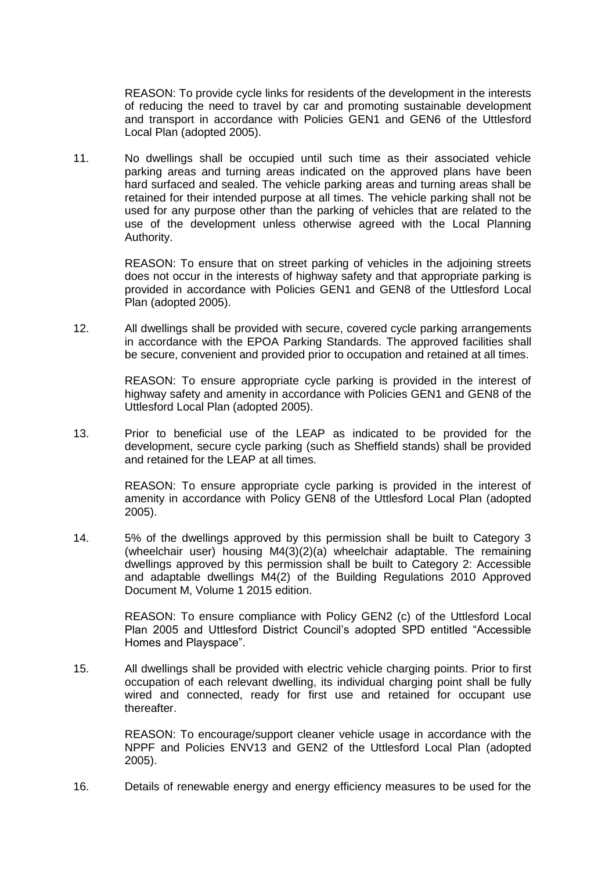REASON: To provide cycle links for residents of the development in the interests of reducing the need to travel by car and promoting sustainable development and transport in accordance with Policies GEN1 and GEN6 of the Uttlesford Local Plan (adopted 2005).

11. No dwellings shall be occupied until such time as their associated vehicle parking areas and turning areas indicated on the approved plans have been hard surfaced and sealed. The vehicle parking areas and turning areas shall be retained for their intended purpose at all times. The vehicle parking shall not be used for any purpose other than the parking of vehicles that are related to the use of the development unless otherwise agreed with the Local Planning Authority.

> REASON: To ensure that on street parking of vehicles in the adjoining streets does not occur in the interests of highway safety and that appropriate parking is provided in accordance with Policies GEN1 and GEN8 of the Uttlesford Local Plan (adopted 2005).

12. All dwellings shall be provided with secure, covered cycle parking arrangements in accordance with the EPOA Parking Standards. The approved facilities shall be secure, convenient and provided prior to occupation and retained at all times.

> REASON: To ensure appropriate cycle parking is provided in the interest of highway safety and amenity in accordance with Policies GEN1 and GEN8 of the Uttlesford Local Plan (adopted 2005).

13. Prior to beneficial use of the LEAP as indicated to be provided for the development, secure cycle parking (such as Sheffield stands) shall be provided and retained for the LEAP at all times.

> REASON: To ensure appropriate cycle parking is provided in the interest of amenity in accordance with Policy GEN8 of the Uttlesford Local Plan (adopted 2005).

14. 5% of the dwellings approved by this permission shall be built to Category 3 (wheelchair user) housing M4(3)(2)(a) wheelchair adaptable. The remaining dwellings approved by this permission shall be built to Category 2: Accessible and adaptable dwellings M4(2) of the Building Regulations 2010 Approved Document M, Volume 1 2015 edition.

> REASON: To ensure compliance with Policy GEN2 (c) of the Uttlesford Local Plan 2005 and Uttlesford District Council's adopted SPD entitled "Accessible Homes and Playspace".

15. All dwellings shall be provided with electric vehicle charging points. Prior to first occupation of each relevant dwelling, its individual charging point shall be fully wired and connected, ready for first use and retained for occupant use thereafter.

> REASON: To encourage/support cleaner vehicle usage in accordance with the NPPF and Policies ENV13 and GEN2 of the Uttlesford Local Plan (adopted 2005).

16. Details of renewable energy and energy efficiency measures to be used for the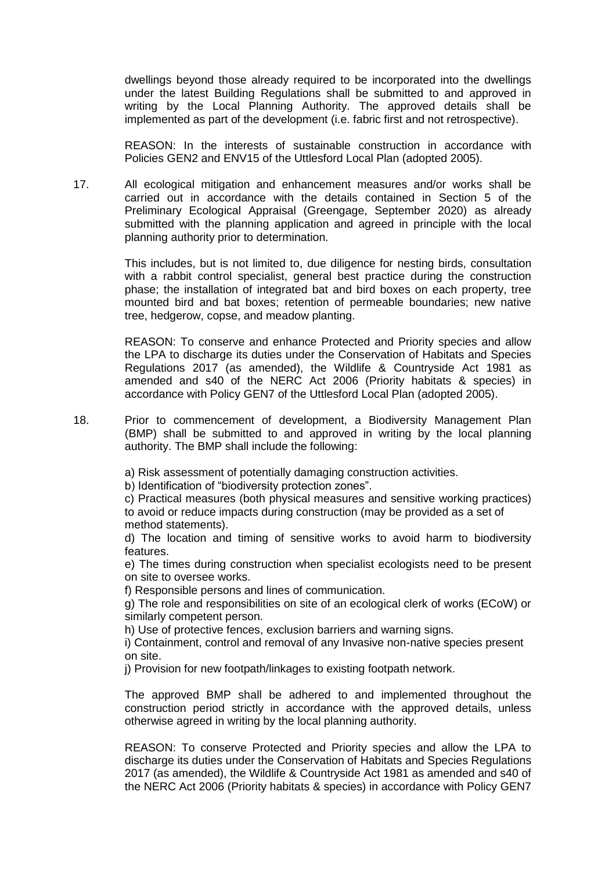dwellings beyond those already required to be incorporated into the dwellings under the latest Building Regulations shall be submitted to and approved in writing by the Local Planning Authority. The approved details shall be implemented as part of the development (i.e. fabric first and not retrospective).

REASON: In the interests of sustainable construction in accordance with Policies GEN2 and ENV15 of the Uttlesford Local Plan (adopted 2005).

17. All ecological mitigation and enhancement measures and/or works shall be carried out in accordance with the details contained in Section 5 of the Preliminary Ecological Appraisal (Greengage, September 2020) as already submitted with the planning application and agreed in principle with the local planning authority prior to determination.

> This includes, but is not limited to, due diligence for nesting birds, consultation with a rabbit control specialist, general best practice during the construction phase; the installation of integrated bat and bird boxes on each property, tree mounted bird and bat boxes; retention of permeable boundaries; new native tree, hedgerow, copse, and meadow planting.

> REASON: To conserve and enhance Protected and Priority species and allow the LPA to discharge its duties under the Conservation of Habitats and Species Regulations 2017 (as amended), the Wildlife & Countryside Act 1981 as amended and s40 of the NERC Act 2006 (Priority habitats & species) in accordance with Policy GEN7 of the Uttlesford Local Plan (adopted 2005).

18. Prior to commencement of development, a Biodiversity Management Plan (BMP) shall be submitted to and approved in writing by the local planning authority. The BMP shall include the following:

a) Risk assessment of potentially damaging construction activities.

b) Identification of "biodiversity protection zones".

c) Practical measures (both physical measures and sensitive working practices) to avoid or reduce impacts during construction (may be provided as a set of method statements).

d) The location and timing of sensitive works to avoid harm to biodiversity features.

e) The times during construction when specialist ecologists need to be present on site to oversee works.

f) Responsible persons and lines of communication.

g) The role and responsibilities on site of an ecological clerk of works (ECoW) or similarly competent person.

h) Use of protective fences, exclusion barriers and warning signs.

i) Containment, control and removal of any Invasive non-native species present on site.

j) Provision for new footpath/linkages to existing footpath network.

The approved BMP shall be adhered to and implemented throughout the construction period strictly in accordance with the approved details, unless otherwise agreed in writing by the local planning authority.

REASON: To conserve Protected and Priority species and allow the LPA to discharge its duties under the Conservation of Habitats and Species Regulations 2017 (as amended), the Wildlife & Countryside Act 1981 as amended and s40 of the NERC Act 2006 (Priority habitats & species) in accordance with Policy GEN7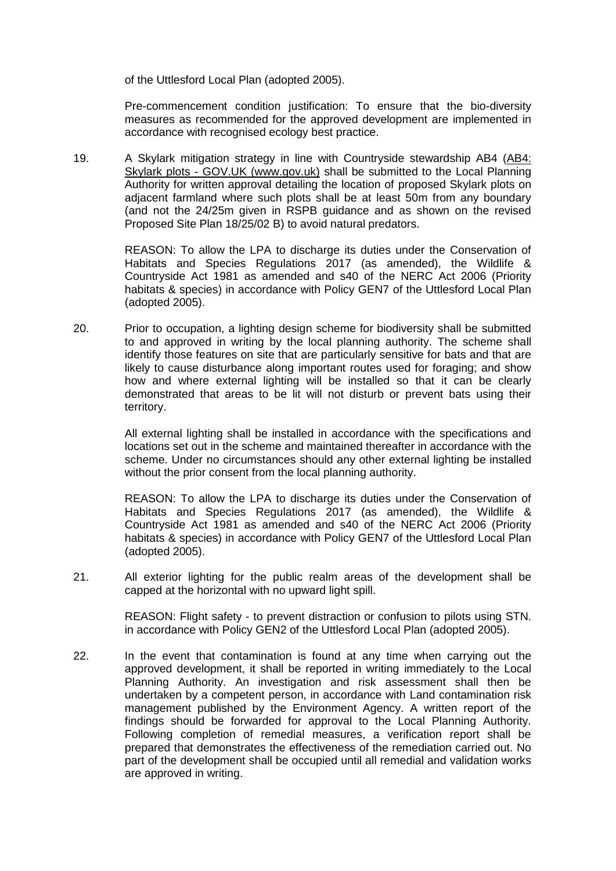of the Uttlesford Local Plan (adopted 2005).

Pre-commencement condition justification: To ensure that the bio-diversity measures as recommended for the approved development are implemented in accordance with recognised ecology best practice.

19. A Skylark mitigation strategy in line with Countryside stewardship AB4 [\(AB4:](https://eur02.safelinks.protection.outlook.com/?url=https%3A%2F%2Fwww.gov.uk%2Fcountryside-stewardship-grants%2Fskylark-plots-ab4&data=04%7C01%7C%7Ce90dd299802e4cfaf09808d9f6bd6577%7Ca8b4324f155c4215a0f17ed8cc9a992f%7C0%7C0%7C637812115611875870%7CUnknown%7CTWFpbGZsb3d8eyJWIjoiMC4wLjAwMDAiLCJQIjoiV2luMzIiLCJBTiI6Ik1haWwiLCJXVCI6Mn0%3D%7C3000&sdata=nC59JocNp32%2BnChABkeW8OToPEFJA1jzrQodvHqt5t4%3D&reserved=0)  Skylark plots - [GOV.UK \(www.gov.uk\)](https://eur02.safelinks.protection.outlook.com/?url=https%3A%2F%2Fwww.gov.uk%2Fcountryside-stewardship-grants%2Fskylark-plots-ab4&data=04%7C01%7C%7Ce90dd299802e4cfaf09808d9f6bd6577%7Ca8b4324f155c4215a0f17ed8cc9a992f%7C0%7C0%7C637812115611875870%7CUnknown%7CTWFpbGZsb3d8eyJWIjoiMC4wLjAwMDAiLCJQIjoiV2luMzIiLCJBTiI6Ik1haWwiLCJXVCI6Mn0%3D%7C3000&sdata=nC59JocNp32%2BnChABkeW8OToPEFJA1jzrQodvHqt5t4%3D&reserved=0) shall be submitted to the Local Planning Authority for written approval detailing the location of proposed Skylark plots on adjacent farmland where such plots shall be at least 50m from any boundary (and not the 24/25m given in RSPB guidance and as shown on the revised Proposed Site Plan 18/25/02 B) to avoid natural predators.

> REASON: To allow the LPA to discharge its duties under the Conservation of Habitats and Species Regulations 2017 (as amended), the Wildlife & Countryside Act 1981 as amended and s40 of the NERC Act 2006 (Priority habitats & species) in accordance with Policy GEN7 of the Uttlesford Local Plan (adopted 2005).

20. Prior to occupation, a lighting design scheme for biodiversity shall be submitted to and approved in writing by the local planning authority. The scheme shall identify those features on site that are particularly sensitive for bats and that are likely to cause disturbance along important routes used for foraging; and show how and where external lighting will be installed so that it can be clearly demonstrated that areas to be lit will not disturb or prevent bats using their territory.

> All external lighting shall be installed in accordance with the specifications and locations set out in the scheme and maintained thereafter in accordance with the scheme. Under no circumstances should any other external lighting be installed without the prior consent from the local planning authority.

> REASON: To allow the LPA to discharge its duties under the Conservation of Habitats and Species Regulations 2017 (as amended), the Wildlife & Countryside Act 1981 as amended and s40 of the NERC Act 2006 (Priority habitats & species) in accordance with Policy GEN7 of the Uttlesford Local Plan (adopted 2005).

21. All exterior lighting for the public realm areas of the development shall be capped at the horizontal with no upward light spill.

> REASON: Flight safety - to prevent distraction or confusion to pilots using STN. in accordance with Policy GEN2 of the Uttlesford Local Plan (adopted 2005).

22. In the event that contamination is found at any time when carrying out the approved development, it shall be reported in writing immediately to the Local Planning Authority. An investigation and risk assessment shall then be undertaken by a competent person, in accordance with Land contamination risk management published by the Environment Agency. A written report of the findings should be forwarded for approval to the Local Planning Authority. Following completion of remedial measures, a verification report shall be prepared that demonstrates the effectiveness of the remediation carried out. No part of the development shall be occupied until all remedial and validation works are approved in writing.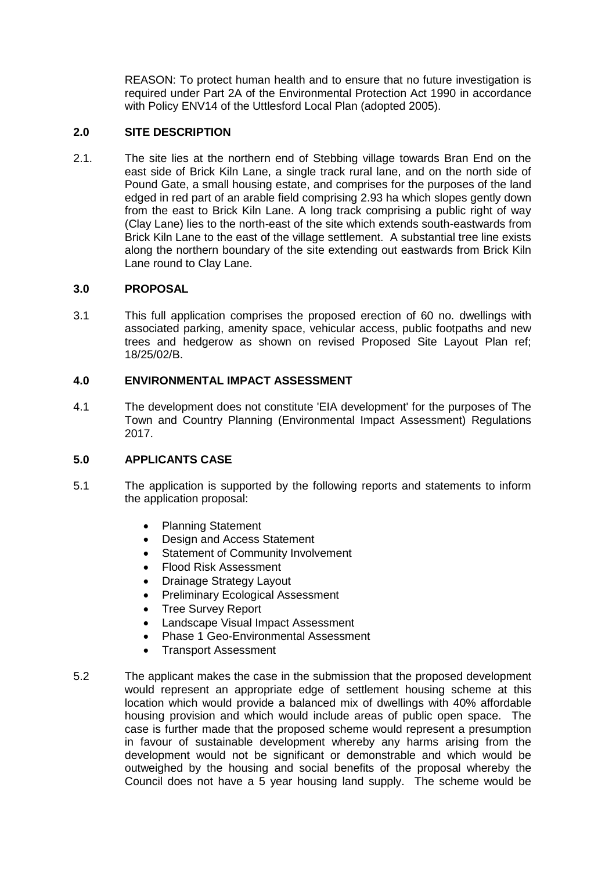REASON: To protect human health and to ensure that no future investigation is required under Part 2A of the Environmental Protection Act 1990 in accordance with Policy ENV14 of the Uttlesford Local Plan (adopted 2005).

## **2.0 SITE DESCRIPTION**

2.1. The site lies at the northern end of Stebbing village towards Bran End on the east side of Brick Kiln Lane, a single track rural lane, and on the north side of Pound Gate, a small housing estate, and comprises for the purposes of the land edged in red part of an arable field comprising 2.93 ha which slopes gently down from the east to Brick Kiln Lane. A long track comprising a public right of way (Clay Lane) lies to the north-east of the site which extends south-eastwards from Brick Kiln Lane to the east of the village settlement. A substantial tree line exists along the northern boundary of the site extending out eastwards from Brick Kiln Lane round to Clay Lane.

## **3.0 PROPOSAL**

3.1 This full application comprises the proposed erection of 60 no. dwellings with associated parking, amenity space, vehicular access, public footpaths and new trees and hedgerow as shown on revised Proposed Site Layout Plan ref; 18/25/02/B.

## **4.0 ENVIRONMENTAL IMPACT ASSESSMENT**

4.1 The development does not constitute 'EIA development' for the purposes of The Town and Country Planning (Environmental Impact Assessment) Regulations 2017.

## **5.0 APPLICANTS CASE**

- 5.1 The application is supported by the following reports and statements to inform the application proposal:
	- Planning Statement
	- Design and Access Statement
	- Statement of Community Involvement
	- Flood Risk Assessment
	- Drainage Strategy Layout
	- Preliminary Ecological Assessment
	- Tree Survey Report
	- Landscape Visual Impact Assessment
	- Phase 1 Geo-Environmental Assessment
	- Transport Assessment
- 5.2 The applicant makes the case in the submission that the proposed development would represent an appropriate edge of settlement housing scheme at this location which would provide a balanced mix of dwellings with 40% affordable housing provision and which would include areas of public open space. The case is further made that the proposed scheme would represent a presumption in favour of sustainable development whereby any harms arising from the development would not be significant or demonstrable and which would be outweighed by the housing and social benefits of the proposal whereby the Council does not have a 5 year housing land supply. The scheme would be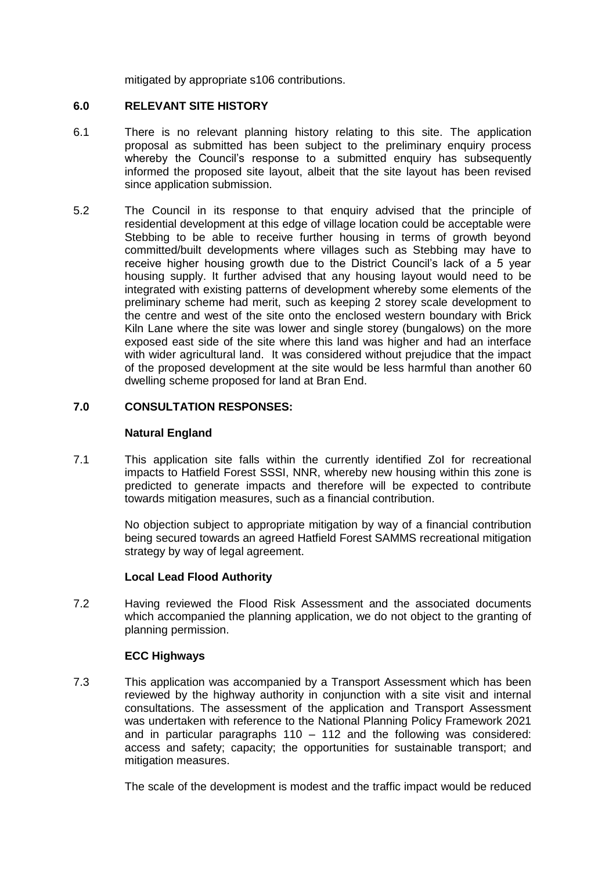mitigated by appropriate s106 contributions.

## **6.0 RELEVANT SITE HISTORY**

- 6.1 There is no relevant planning history relating to this site. The application proposal as submitted has been subject to the preliminary enquiry process whereby the Council's response to a submitted enquiry has subsequently informed the proposed site layout, albeit that the site layout has been revised since application submission.
- 5.2 The Council in its response to that enquiry advised that the principle of residential development at this edge of village location could be acceptable were Stebbing to be able to receive further housing in terms of growth beyond committed/built developments where villages such as Stebbing may have to receive higher housing growth due to the District Council's lack of a 5 year housing supply. It further advised that any housing layout would need to be integrated with existing patterns of development whereby some elements of the preliminary scheme had merit, such as keeping 2 storey scale development to the centre and west of the site onto the enclosed western boundary with Brick Kiln Lane where the site was lower and single storey (bungalows) on the more exposed east side of the site where this land was higher and had an interface with wider agricultural land. It was considered without prejudice that the impact of the proposed development at the site would be less harmful than another 60 dwelling scheme proposed for land at Bran End.

## **7.0 CONSULTATION RESPONSES:**

#### **Natural England**

7.1 This application site falls within the currently identified ZoI for recreational impacts to Hatfield Forest SSSI, NNR, whereby new housing within this zone is predicted to generate impacts and therefore will be expected to contribute towards mitigation measures, such as a financial contribution.

> No objection subject to appropriate mitigation by way of a financial contribution being secured towards an agreed Hatfield Forest SAMMS recreational mitigation strategy by way of legal agreement.

## **Local Lead Flood Authority**

7.2 Having reviewed the Flood Risk Assessment and the associated documents which accompanied the planning application, we do not object to the granting of planning permission.

#### **ECC Highways**

7.3 This application was accompanied by a Transport Assessment which has been reviewed by the highway authority in conjunction with a site visit and internal consultations. The assessment of the application and Transport Assessment was undertaken with reference to the National Planning Policy Framework 2021 and in particular paragraphs 110 – 112 and the following was considered: access and safety; capacity; the opportunities for sustainable transport; and mitigation measures.

The scale of the development is modest and the traffic impact would be reduced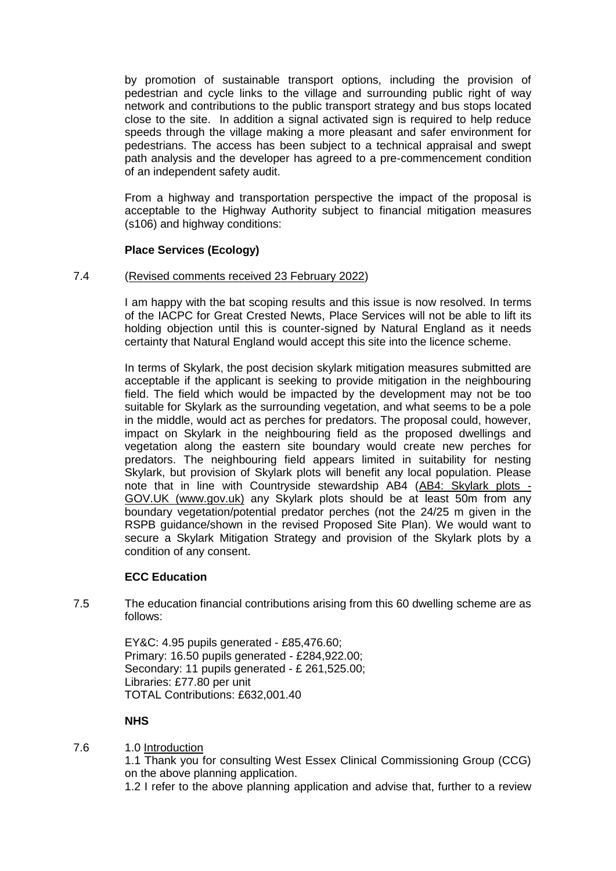by promotion of sustainable transport options, including the provision of pedestrian and cycle links to the village and surrounding public right of way network and contributions to the public transport strategy and bus stops located close to the site. In addition a signal activated sign is required to help reduce speeds through the village making a more pleasant and safer environment for pedestrians. The access has been subject to a technical appraisal and swept path analysis and the developer has agreed to a pre-commencement condition of an independent safety audit.

From a highway and transportation perspective the impact of the proposal is acceptable to the Highway Authority subject to financial mitigation measures (s106) and highway conditions:

## **Place Services (Ecology)**

#### 7.4 (Revised comments received 23 February 2022)

I am happy with the bat scoping results and this issue is now resolved. In terms of the IACPC for Great Crested Newts, Place Services will not be able to lift its holding objection until this is counter-signed by Natural England as it needs certainty that Natural England would accept this site into the licence scheme.

In terms of Skylark, the post decision skylark mitigation measures submitted are acceptable if the applicant is seeking to provide mitigation in the neighbouring field. The field which would be impacted by the development may not be too suitable for Skylark as the surrounding vegetation, and what seems to be a pole in the middle, would act as perches for predators. The proposal could, however, impact on Skylark in the neighbouring field as the proposed dwellings and vegetation along the eastern site boundary would create new perches for predators. The neighbouring field appears limited in suitability for nesting Skylark, but provision of Skylark plots will benefit any local population. Please note that in line with Countryside stewardship AB4 [\(AB4: Skylark plots -](https://eur02.safelinks.protection.outlook.com/?url=https%3A%2F%2Fwww.gov.uk%2Fcountryside-stewardship-grants%2Fskylark-plots-ab4&data=04%7C01%7C%7Ce90dd299802e4cfaf09808d9f6bd6577%7Ca8b4324f155c4215a0f17ed8cc9a992f%7C0%7C0%7C637812115611875870%7CUnknown%7CTWFpbGZsb3d8eyJWIjoiMC4wLjAwMDAiLCJQIjoiV2luMzIiLCJBTiI6Ik1haWwiLCJXVCI6Mn0%3D%7C3000&sdata=nC59JocNp32%2BnChABkeW8OToPEFJA1jzrQodvHqt5t4%3D&reserved=0) [GOV.UK \(www.gov.uk\)](https://eur02.safelinks.protection.outlook.com/?url=https%3A%2F%2Fwww.gov.uk%2Fcountryside-stewardship-grants%2Fskylark-plots-ab4&data=04%7C01%7C%7Ce90dd299802e4cfaf09808d9f6bd6577%7Ca8b4324f155c4215a0f17ed8cc9a992f%7C0%7C0%7C637812115611875870%7CUnknown%7CTWFpbGZsb3d8eyJWIjoiMC4wLjAwMDAiLCJQIjoiV2luMzIiLCJBTiI6Ik1haWwiLCJXVCI6Mn0%3D%7C3000&sdata=nC59JocNp32%2BnChABkeW8OToPEFJA1jzrQodvHqt5t4%3D&reserved=0) any Skylark plots should be at least 50m from any boundary vegetation/potential predator perches (not the 24/25 m given in the RSPB guidance/shown in the revised Proposed Site Plan). We would want to secure a Skylark Mitigation Strategy and provision of the Skylark plots by a condition of any consent.

#### **ECC Education**

7.5 The education financial contributions arising from this 60 dwelling scheme are as follows:

> EY&C: 4.95 pupils generated - £85,476.60; Primary: 16.50 pupils generated - £284,922.00; Secondary: 11 pupils generated - £ 261,525.00; Libraries: £77.80 per unit TOTAL Contributions: £632,001.40

#### **NHS**

7.6 1.0 Introduction

1.1 Thank you for consulting West Essex Clinical Commissioning Group (CCG) on the above planning application.

1.2 I refer to the above planning application and advise that, further to a review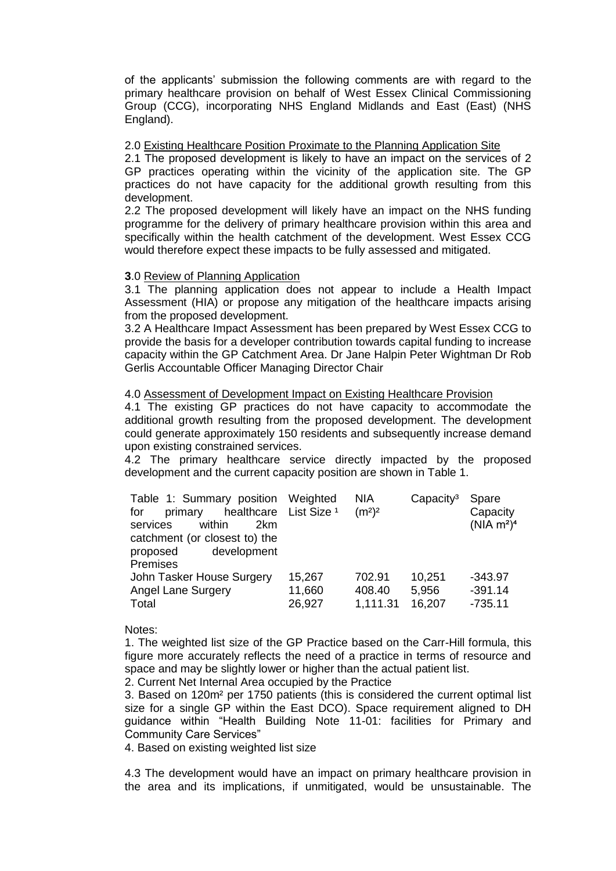of the applicants' submission the following comments are with regard to the primary healthcare provision on behalf of West Essex Clinical Commissioning Group (CCG), incorporating NHS England Midlands and East (East) (NHS England).

#### 2.0 Existing Healthcare Position Proximate to the Planning Application Site

2.1 The proposed development is likely to have an impact on the services of 2 GP practices operating within the vicinity of the application site. The GP practices do not have capacity for the additional growth resulting from this development.

2.2 The proposed development will likely have an impact on the NHS funding programme for the delivery of primary healthcare provision within this area and specifically within the health catchment of the development. West Essex CCG would therefore expect these impacts to be fully assessed and mitigated.

#### **3**.0 Review of Planning Application

3.1 The planning application does not appear to include a Health Impact Assessment (HIA) or propose any mitigation of the healthcare impacts arising from the proposed development.

3.2 A Healthcare Impact Assessment has been prepared by West Essex CCG to provide the basis for a developer contribution towards capital funding to increase capacity within the GP Catchment Area. Dr Jane Halpin Peter Wightman Dr Rob Gerlis Accountable Officer Managing Director Chair

#### 4.0 Assessment of Development Impact on Existing Healthcare Provision

4.1 The existing GP practices do not have capacity to accommodate the additional growth resulting from the proposed development. The development could generate approximately 150 residents and subsequently increase demand upon existing constrained services.

4.2 The primary healthcare service directly impacted by the proposed development and the current capacity position are shown in Table 1.

| Table 1: Summary position Weighted<br>healthcare List Size <sup>1</sup><br>primary<br>for<br>within<br>services<br>2km<br>catchment (or closest to) the<br>development<br>proposed<br>Premises |        | <b>NIA</b><br>(m <sup>2</sup> ) <sup>2</sup> | Capacity <sup>3</sup> | Spare<br>Capacity<br>(NIA m <sup>2</sup> ) <sup>4</sup> |
|------------------------------------------------------------------------------------------------------------------------------------------------------------------------------------------------|--------|----------------------------------------------|-----------------------|---------------------------------------------------------|
| John Tasker House Surgery                                                                                                                                                                      | 15,267 | 702.91                                       | 10,251                | $-343.97$                                               |
| <b>Angel Lane Surgery</b>                                                                                                                                                                      | 11,660 | 408.40                                       | 5,956                 | $-391.14$                                               |
| Total                                                                                                                                                                                          | 26,927 | 1,111.31                                     | 16,207                | $-735.11$                                               |

Notes:

1. The weighted list size of the GP Practice based on the Carr-Hill formula, this figure more accurately reflects the need of a practice in terms of resource and space and may be slightly lower or higher than the actual patient list.

2. Current Net Internal Area occupied by the Practice

3. Based on 120m² per 1750 patients (this is considered the current optimal list size for a single GP within the East DCO). Space requirement aligned to DH guidance within "Health Building Note 11-01: facilities for Primary and Community Care Services"

4. Based on existing weighted list size

4.3 The development would have an impact on primary healthcare provision in the area and its implications, if unmitigated, would be unsustainable. The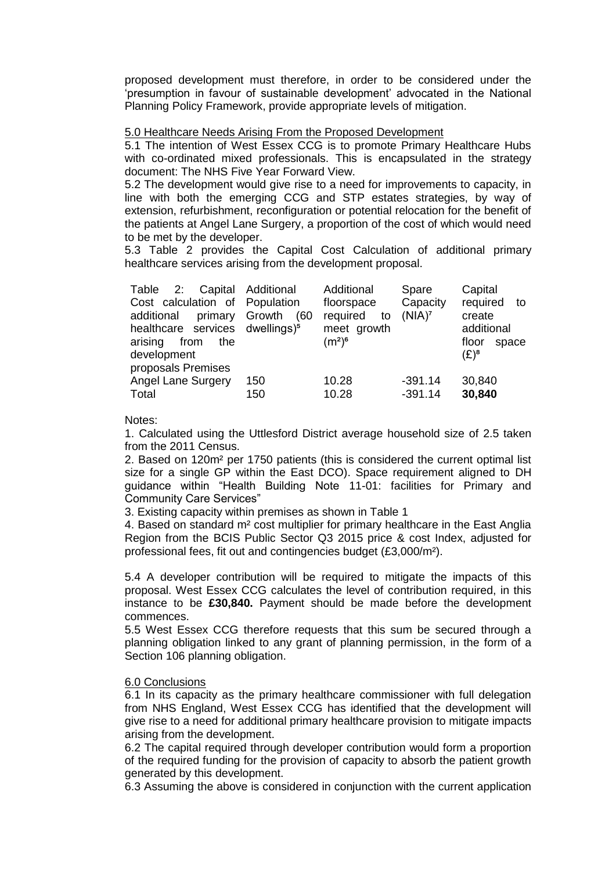proposed development must therefore, in order to be considered under the 'presumption in favour of sustainable development' advocated in the National Planning Policy Framework, provide appropriate levels of mitigation.

## 5.0 Healthcare Needs Arising From the Proposed Development

5.1 The intention of West Essex CCG is to promote Primary Healthcare Hubs with co-ordinated mixed professionals. This is encapsulated in the strategy document: The NHS Five Year Forward View.

5.2 The development would give rise to a need for improvements to capacity, in line with both the emerging CCG and STP estates strategies, by way of extension, refurbishment, reconfiguration or potential relocation for the benefit of the patients at Angel Lane Surgery, a proportion of the cost of which would need to be met by the developer.

5.3 Table 2 provides the Capital Cost Calculation of additional primary healthcare services arising from the development proposal.

| Table 2: Capital Additional<br>Cost calculation of Population<br>primary<br>additional<br>healthcare services dwellings) <sup>5</sup><br>arising<br>from<br>the<br>development<br>proposals Premises | Growth<br>(60 | Additional<br>floorspace<br>required<br>to<br>meet growth<br>$(m^2)^6$ | Spare<br>Capacity<br>(NIA) <sup>7</sup> | Capital<br>required to<br>create<br>additional<br>floor<br>space<br>$(E)^8$ |
|------------------------------------------------------------------------------------------------------------------------------------------------------------------------------------------------------|---------------|------------------------------------------------------------------------|-----------------------------------------|-----------------------------------------------------------------------------|
| <b>Angel Lane Surgery</b>                                                                                                                                                                            | 150           | 10.28                                                                  | $-391.14$                               | 30,840                                                                      |
| Total                                                                                                                                                                                                | 150           | 10.28                                                                  | $-391.14$                               | 30,840                                                                      |

Notes:

1. Calculated using the Uttlesford District average household size of 2.5 taken from the 2011 Census.

2. Based on 120m² per 1750 patients (this is considered the current optimal list size for a single GP within the East DCO). Space requirement aligned to DH guidance within "Health Building Note 11-01: facilities for Primary and Community Care Services"

3. Existing capacity within premises as shown in Table 1

4. Based on standard m² cost multiplier for primary healthcare in the East Anglia Region from the BCIS Public Sector Q3 2015 price & cost Index, adjusted for professional fees, fit out and contingencies budget (£3,000/m²).

5.4 A developer contribution will be required to mitigate the impacts of this proposal. West Essex CCG calculates the level of contribution required, in this instance to be **£30,840.** Payment should be made before the development commences.

5.5 West Essex CCG therefore requests that this sum be secured through a planning obligation linked to any grant of planning permission, in the form of a Section 106 planning obligation.

#### 6.0 Conclusions

6.1 In its capacity as the primary healthcare commissioner with full delegation from NHS England, West Essex CCG has identified that the development will give rise to a need for additional primary healthcare provision to mitigate impacts arising from the development.

6.2 The capital required through developer contribution would form a proportion of the required funding for the provision of capacity to absorb the patient growth generated by this development.

6.3 Assuming the above is considered in conjunction with the current application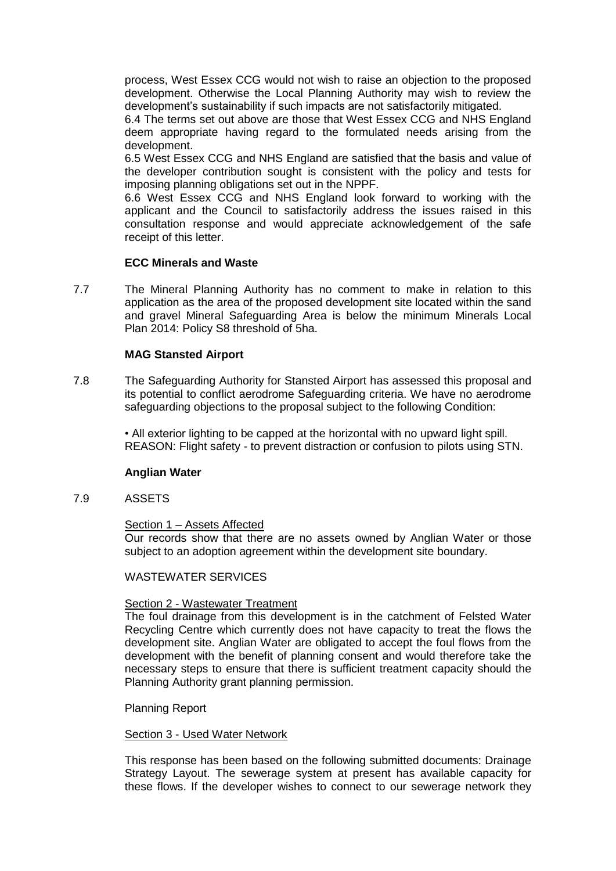process, West Essex CCG would not wish to raise an objection to the proposed development. Otherwise the Local Planning Authority may wish to review the development's sustainability if such impacts are not satisfactorily mitigated.

6.4 The terms set out above are those that West Essex CCG and NHS England deem appropriate having regard to the formulated needs arising from the development.

6.5 West Essex CCG and NHS England are satisfied that the basis and value of the developer contribution sought is consistent with the policy and tests for imposing planning obligations set out in the NPPF.

6.6 West Essex CCG and NHS England look forward to working with the applicant and the Council to satisfactorily address the issues raised in this consultation response and would appreciate acknowledgement of the safe receipt of this letter.

## **ECC Minerals and Waste**

7.7 The Mineral Planning Authority has no comment to make in relation to this application as the area of the proposed development site located within the sand and gravel Mineral Safeguarding Area is below the minimum Minerals Local Plan 2014: Policy S8 threshold of 5ha.

## **MAG Stansted Airport**

7.8 The Safeguarding Authority for Stansted Airport has assessed this proposal and its potential to conflict aerodrome Safeguarding criteria. We have no aerodrome safeguarding objections to the proposal subject to the following Condition:

> • All exterior lighting to be capped at the horizontal with no upward light spill. REASON: Flight safety - to prevent distraction or confusion to pilots using STN.

#### **Anglian Water**

#### 7.9 ASSETS

#### Section 1 – Assets Affected

Our records show that there are no assets owned by Anglian Water or those subject to an adoption agreement within the development site boundary.

#### WASTEWATER SERVICES

#### Section 2 - Wastewater Treatment

The foul drainage from this development is in the catchment of Felsted Water Recycling Centre which currently does not have capacity to treat the flows the development site. Anglian Water are obligated to accept the foul flows from the development with the benefit of planning consent and would therefore take the necessary steps to ensure that there is sufficient treatment capacity should the Planning Authority grant planning permission.

#### Planning Report

#### Section 3 - Used Water Network

This response has been based on the following submitted documents: Drainage Strategy Layout. The sewerage system at present has available capacity for these flows. If the developer wishes to connect to our sewerage network they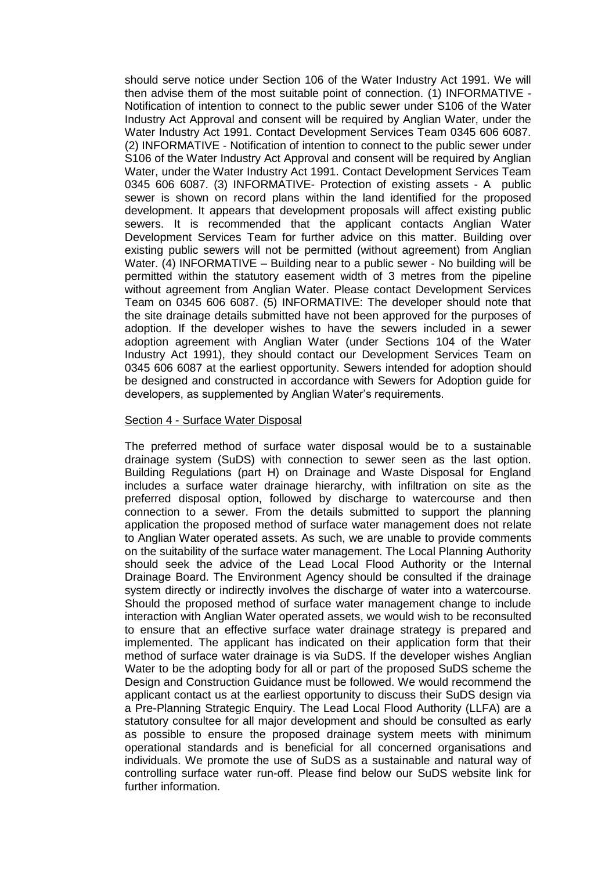should serve notice under Section 106 of the Water Industry Act 1991. We will then advise them of the most suitable point of connection. (1) INFORMATIVE - Notification of intention to connect to the public sewer under S106 of the Water Industry Act Approval and consent will be required by Anglian Water, under the Water Industry Act 1991. Contact Development Services Team 0345 606 6087. (2) INFORMATIVE - Notification of intention to connect to the public sewer under S106 of the Water Industry Act Approval and consent will be required by Anglian Water, under the Water Industry Act 1991. Contact Development Services Team 0345 606 6087. (3) INFORMATIVE- Protection of existing assets - A public sewer is shown on record plans within the land identified for the proposed development. It appears that development proposals will affect existing public sewers. It is recommended that the applicant contacts Anglian Water Development Services Team for further advice on this matter. Building over existing public sewers will not be permitted (without agreement) from Anglian Water. (4) INFORMATIVE – Building near to a public sewer - No building will be permitted within the statutory easement width of 3 metres from the pipeline without agreement from Anglian Water. Please contact Development Services Team on 0345 606 6087. (5) INFORMATIVE: The developer should note that the site drainage details submitted have not been approved for the purposes of adoption. If the developer wishes to have the sewers included in a sewer adoption agreement with Anglian Water (under Sections 104 of the Water Industry Act 1991), they should contact our Development Services Team on 0345 606 6087 at the earliest opportunity. Sewers intended for adoption should be designed and constructed in accordance with Sewers for Adoption guide for developers, as supplemented by Anglian Water's requirements.

#### Section 4 - Surface Water Disposal

The preferred method of surface water disposal would be to a sustainable drainage system (SuDS) with connection to sewer seen as the last option. Building Regulations (part H) on Drainage and Waste Disposal for England includes a surface water drainage hierarchy, with infiltration on site as the preferred disposal option, followed by discharge to watercourse and then connection to a sewer. From the details submitted to support the planning application the proposed method of surface water management does not relate to Anglian Water operated assets. As such, we are unable to provide comments on the suitability of the surface water management. The Local Planning Authority should seek the advice of the Lead Local Flood Authority or the Internal Drainage Board. The Environment Agency should be consulted if the drainage system directly or indirectly involves the discharge of water into a watercourse. Should the proposed method of surface water management change to include interaction with Anglian Water operated assets, we would wish to be reconsulted to ensure that an effective surface water drainage strategy is prepared and implemented. The applicant has indicated on their application form that their method of surface water drainage is via SuDS. If the developer wishes Anglian Water to be the adopting body for all or part of the proposed SuDS scheme the Design and Construction Guidance must be followed. We would recommend the applicant contact us at the earliest opportunity to discuss their SuDS design via a Pre-Planning Strategic Enquiry. The Lead Local Flood Authority (LLFA) are a statutory consultee for all major development and should be consulted as early as possible to ensure the proposed drainage system meets with minimum operational standards and is beneficial for all concerned organisations and individuals. We promote the use of SuDS as a sustainable and natural way of controlling surface water run-off. Please find below our SuDS website link for further information.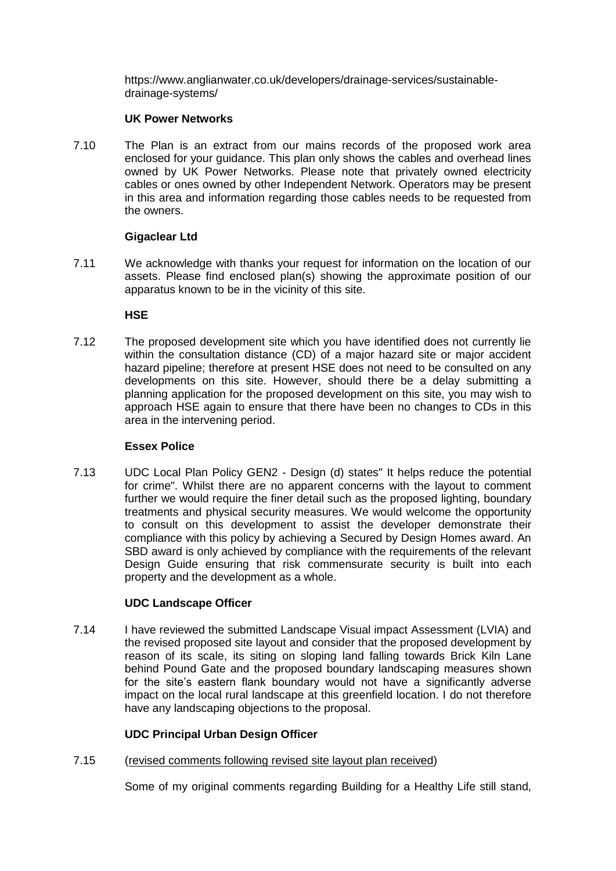https://www.anglianwater.co.uk/developers/drainage-services/sustainabledrainage-systems/

## **UK Power Networks**

7.10 The Plan is an extract from our mains records of the proposed work area enclosed for your guidance. This plan only shows the cables and overhead lines owned by UK Power Networks. Please note that privately owned electricity cables or ones owned by other Independent Network. Operators may be present in this area and information regarding those cables needs to be requested from the owners.

## **Gigaclear Ltd**

7.11 We acknowledge with thanks your request for information on the location of our assets. Please find enclosed plan(s) showing the approximate position of our apparatus known to be in the vicinity of this site.

## **HSE**

7.12 The proposed development site which you have identified does not currently lie within the consultation distance (CD) of a major hazard site or major accident hazard pipeline; therefore at present HSE does not need to be consulted on any developments on this site. However, should there be a delay submitting a planning application for the proposed development on this site, you may wish to approach HSE again to ensure that there have been no changes to CDs in this area in the intervening period.

#### **Essex Police**

7.13 UDC Local Plan Policy GEN2 - Design (d) states" It helps reduce the potential for crime". Whilst there are no apparent concerns with the layout to comment further we would require the finer detail such as the proposed lighting, boundary treatments and physical security measures. We would welcome the opportunity to consult on this development to assist the developer demonstrate their compliance with this policy by achieving a Secured by Design Homes award. An SBD award is only achieved by compliance with the requirements of the relevant Design Guide ensuring that risk commensurate security is built into each property and the development as a whole.

## **UDC Landscape Officer**

7.14 I have reviewed the submitted Landscape Visual impact Assessment (LVIA) and the revised proposed site layout and consider that the proposed development by reason of its scale, its siting on sloping land falling towards Brick Kiln Lane behind Pound Gate and the proposed boundary landscaping measures shown for the site's eastern flank boundary would not have a significantly adverse impact on the local rural landscape at this greenfield location. I do not therefore have any landscaping objections to the proposal.

## **UDC Principal Urban Design Officer**

7.15 (revised comments following revised site layout plan received)

Some of my original comments regarding Building for a Healthy Life still stand,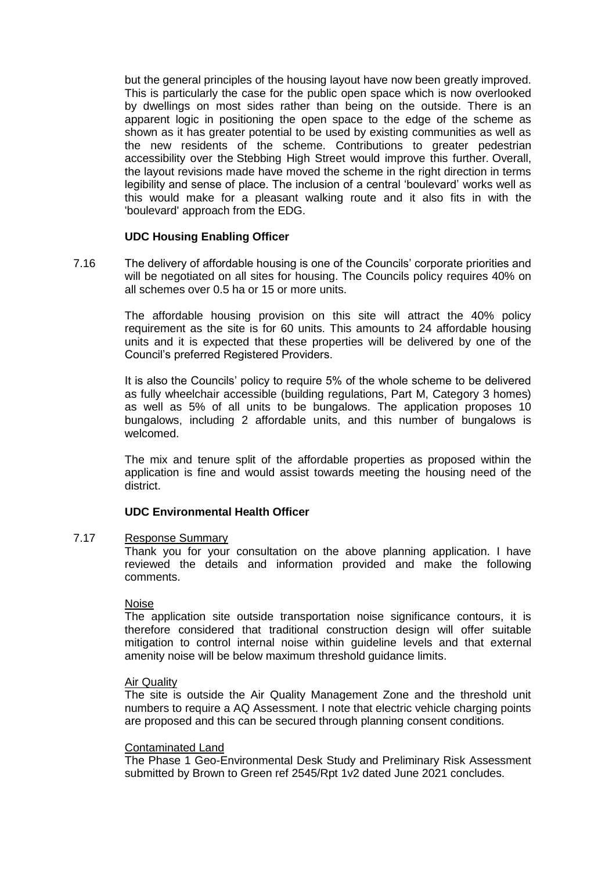but the general principles of the housing layout have now been greatly improved. This is particularly the case for the public open space which is now overlooked by dwellings on most sides rather than being on the outside. There is an apparent logic in positioning the open space to the edge of the scheme as shown as it has greater potential to be used by existing communities as well as the new residents of the scheme. Contributions to greater pedestrian accessibility over the Stebbing High Street would improve this further. Overall, the layout revisions made have moved the scheme in the right direction in terms legibility and sense of place. The inclusion of a central 'boulevard' works well as this would make for a pleasant walking route and it also fits in with the 'boulevard' approach from the EDG.

#### **UDC Housing Enabling Officer**

7.16 The delivery of affordable housing is one of the Councils' corporate priorities and will be negotiated on all sites for housing. The Councils policy requires 40% on all schemes over 0.5 ha or 15 or more units.

> The affordable housing provision on this site will attract the 40% policy requirement as the site is for 60 units. This amounts to 24 affordable housing units and it is expected that these properties will be delivered by one of the Council's preferred Registered Providers.

> It is also the Councils' policy to require 5% of the whole scheme to be delivered as fully wheelchair accessible (building regulations, Part M, Category 3 homes) as well as 5% of all units to be bungalows. The application proposes 10 bungalows, including 2 affordable units, and this number of bungalows is welcomed.

> The mix and tenure split of the affordable properties as proposed within the application is fine and would assist towards meeting the housing need of the district.

## **UDC Environmental Health Officer**

#### 7.17 Response Summary

Thank you for your consultation on the above planning application. I have reviewed the details and information provided and make the following comments.

#### Noise

The application site outside transportation noise significance contours, it is therefore considered that traditional construction design will offer suitable mitigation to control internal noise within guideline levels and that external amenity noise will be below maximum threshold guidance limits.

#### Air Quality

The site is outside the Air Quality Management Zone and the threshold unit numbers to require a AQ Assessment. I note that electric vehicle charging points are proposed and this can be secured through planning consent conditions.

#### Contaminated Land

The Phase 1 Geo-Environmental Desk Study and Preliminary Risk Assessment submitted by Brown to Green ref 2545/Rpt 1v2 dated June 2021 concludes.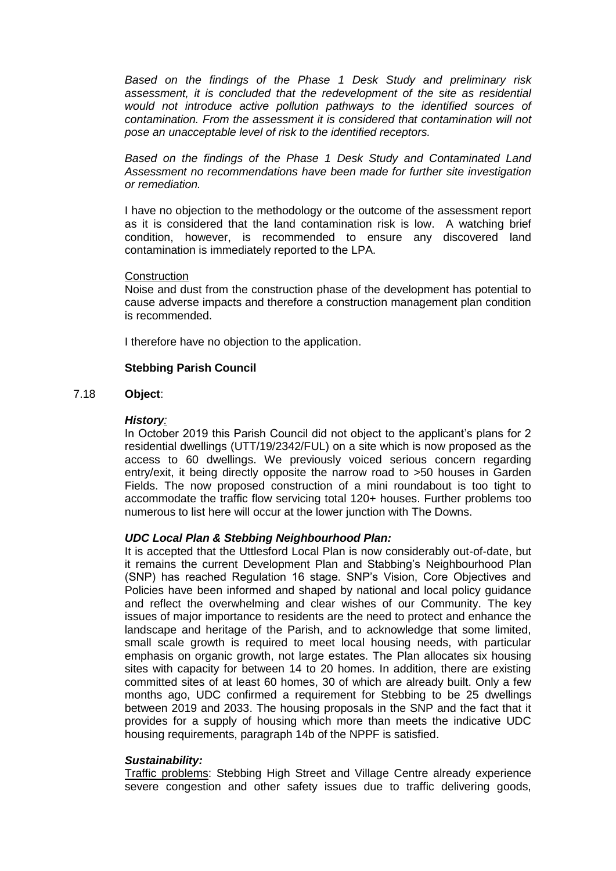*Based on the findings of the Phase 1 Desk Study and preliminary risk assessment, it is concluded that the redevelopment of the site as residential would not introduce active pollution pathways to the identified sources of contamination. From the assessment it is considered that contamination will not pose an unacceptable level of risk to the identified receptors.* 

*Based on the findings of the Phase 1 Desk Study and Contaminated Land Assessment no recommendations have been made for further site investigation or remediation.* 

I have no objection to the methodology or the outcome of the assessment report as it is considered that the land contamination risk is low. A watching brief condition, however, is recommended to ensure any discovered land contamination is immediately reported to the LPA.

#### **Construction**

Noise and dust from the construction phase of the development has potential to cause adverse impacts and therefore a construction management plan condition is recommended.

I therefore have no objection to the application.

## **Stebbing Parish Council**

#### 7.18 **Object**:

#### *History:*

In October 2019 this Parish Council did not object to the applicant's plans for 2 residential dwellings (UTT/19/2342/FUL) on a site which is now proposed as the access to 60 dwellings. We previously voiced serious concern regarding entry/exit, it being directly opposite the narrow road to >50 houses in Garden Fields. The now proposed construction of a mini roundabout is too tight to accommodate the traffic flow servicing total 120+ houses. Further problems too numerous to list here will occur at the lower junction with The Downs.

## *UDC Local Plan & Stebbing Neighbourhood Plan:*

It is accepted that the Uttlesford Local Plan is now considerably out-of-date, but it remains the current Development Plan and Stabbing's Neighbourhood Plan (SNP) has reached Regulation 16 stage. SNP's Vision, Core Objectives and Policies have been informed and shaped by national and local policy guidance and reflect the overwhelming and clear wishes of our Community. The key issues of major importance to residents are the need to protect and enhance the landscape and heritage of the Parish, and to acknowledge that some limited, small scale growth is required to meet local housing needs, with particular emphasis on organic growth, not large estates. The Plan allocates six housing sites with capacity for between 14 to 20 homes. In addition, there are existing committed sites of at least 60 homes, 30 of which are already built. Only a few months ago, UDC confirmed a requirement for Stebbing to be 25 dwellings between 2019 and 2033. The housing proposals in the SNP and the fact that it provides for a supply of housing which more than meets the indicative UDC housing requirements, paragraph 14b of the NPPF is satisfied.

#### *Sustainability:*

Traffic problems: Stebbing High Street and Village Centre already experience severe congestion and other safety issues due to traffic delivering goods,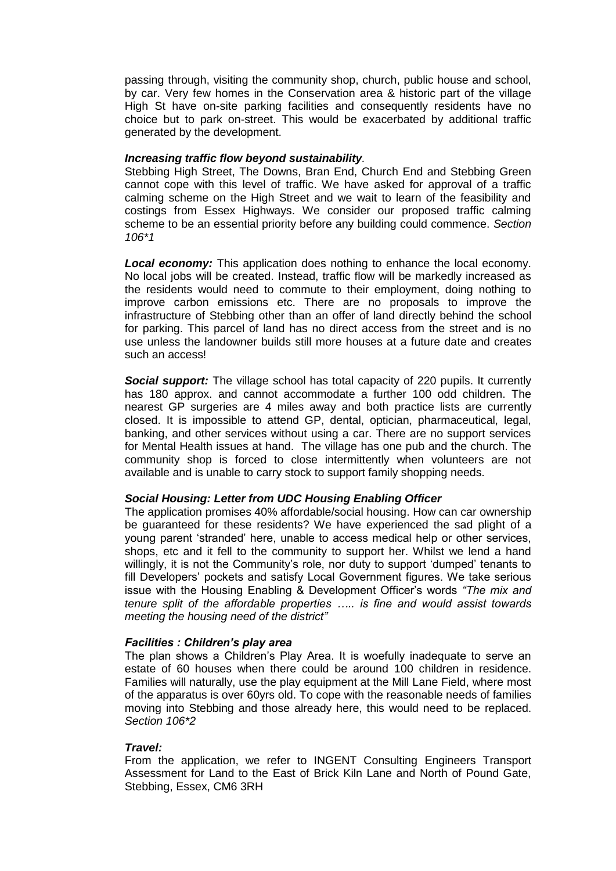passing through, visiting the community shop, church, public house and school, by car. Very few homes in the Conservation area & historic part of the village High St have on-site parking facilities and consequently residents have no choice but to park on-street. This would be exacerbated by additional traffic generated by the development.

#### *Increasing traffic flow beyond sustainability.*

Stebbing High Street, The Downs, Bran End, Church End and Stebbing Green cannot cope with this level of traffic. We have asked for approval of a traffic calming scheme on the High Street and we wait to learn of the feasibility and costings from Essex Highways. We consider our proposed traffic calming scheme to be an essential priority before any building could commence. *Section 106\*1*

*Local economy:* This application does nothing to enhance the local economy. No local jobs will be created. Instead, traffic flow will be markedly increased as the residents would need to commute to their employment, doing nothing to improve carbon emissions etc. There are no proposals to improve the infrastructure of Stebbing other than an offer of land directly behind the school for parking. This parcel of land has no direct access from the street and is no use unless the landowner builds still more houses at a future date and creates such an access!

**Social support:** The village school has total capacity of 220 pupils. It currently has 180 approx. and cannot accommodate a further 100 odd children. The nearest GP surgeries are 4 miles away and both practice lists are currently closed. It is impossible to attend GP, dental, optician, pharmaceutical, legal, banking, and other services without using a car. There are no support services for Mental Health issues at hand. The village has one pub and the church. The community shop is forced to close intermittently when volunteers are not available and is unable to carry stock to support family shopping needs.

#### *Social Housing: Letter from UDC Housing Enabling Officer*

The application promises 40% affordable/social housing. How can car ownership be guaranteed for these residents? We have experienced the sad plight of a young parent 'stranded' here, unable to access medical help or other services, shops, etc and it fell to the community to support her. Whilst we lend a hand willingly, it is not the Community's role, nor duty to support 'dumped' tenants to fill Developers' pockets and satisfy Local Government figures. We take serious issue with the Housing Enabling & Development Officer's words *"The mix and tenure split of the affordable properties ….. is fine and would assist towards meeting the housing need of the district"* 

## *Facilities : Children's play area*

The plan shows a Children's Play Area. It is woefully inadequate to serve an estate of 60 houses when there could be around 100 children in residence. Families will naturally, use the play equipment at the Mill Lane Field, where most of the apparatus is over 60yrs old. To cope with the reasonable needs of families moving into Stebbing and those already here, this would need to be replaced. *Section 106\*2*

## *Travel:*

From the application, we refer to INGENT Consulting Engineers Transport Assessment for Land to the East of Brick Kiln Lane and North of Pound Gate, Stebbing, Essex, CM6 3RH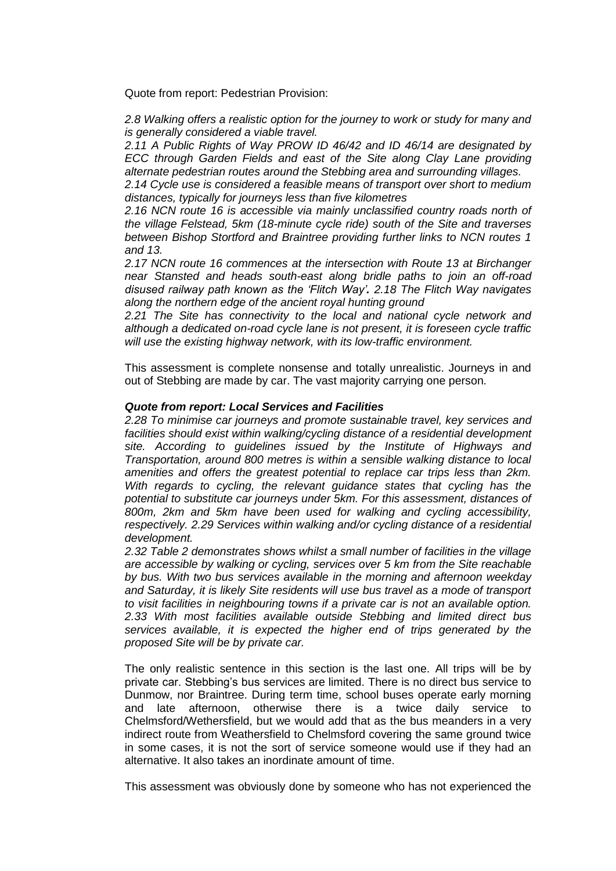Quote from report: Pedestrian Provision:

*2.8 Walking offers a realistic option for the journey to work or study for many and is generally considered a viable travel.* 

*2.11 A Public Rights of Way PROW ID 46/42 and ID 46/14 are designated by ECC through Garden Fields and east of the Site along Clay Lane providing alternate pedestrian routes around the Stebbing area and surrounding villages.* 

*2.14 Cycle use is considered a feasible means of transport over short to medium distances, typically for journeys less than five kilometres* 

2.16 NCN route 16 is accessible via mainly unclassified country roads north of *the village Felstead, 5km (18-minute cycle ride) south of the Site and traverses between Bishop Stortford and Braintree providing further links to NCN routes 1 and 13.* 

*2.17 NCN route 16 commences at the intersection with Route 13 at Birchanger near Stansted and heads south-east along bridle paths to join an off-road disused railway path known as the 'Flitch Way'. 2.18 The Flitch Way navigates along the northern edge of the ancient royal hunting ground* 

*2.21 The Site has connectivity to the local and national cycle network and although a dedicated on-road cycle lane is not present, it is foreseen cycle traffic will use the existing highway network, with its low-traffic environment.* 

This assessment is complete nonsense and totally unrealistic. Journeys in and out of Stebbing are made by car. The vast majority carrying one person.

#### *Quote from report: Local Services and Facilities*

*2.28 To minimise car journeys and promote sustainable travel, key services and facilities should exist within walking/cycling distance of a residential development site. According to guidelines issued by the Institute of Highways and Transportation, around 800 metres is within a sensible walking distance to local amenities and offers the greatest potential to replace car trips less than 2km. With regards to cycling, the relevant guidance states that cycling has the potential to substitute car journeys under 5km. For this assessment, distances of 800m, 2km and 5km have been used for walking and cycling accessibility, respectively. 2.29 Services within walking and/or cycling distance of a residential development.* 

*2.32 Table 2 demonstrates shows whilst a small number of facilities in the village are accessible by walking or cycling, services over 5 km from the Site reachable by bus. With two bus services available in the morning and afternoon weekday and Saturday, it is likely Site residents will use bus travel as a mode of transport to visit facilities in neighbouring towns if a private car is not an available option. 2.33 With most facilities available outside Stebbing and limited direct bus services available, it is expected the higher end of trips generated by the proposed Site will be by private car.* 

The only realistic sentence in this section is the last one. All trips will be by private car. Stebbing's bus services are limited. There is no direct bus service to Dunmow, nor Braintree. During term time, school buses operate early morning and late afternoon, otherwise there is a twice daily service to Chelmsford/Wethersfield, but we would add that as the bus meanders in a very indirect route from Weathersfield to Chelmsford covering the same ground twice in some cases, it is not the sort of service someone would use if they had an alternative. It also takes an inordinate amount of time.

This assessment was obviously done by someone who has not experienced the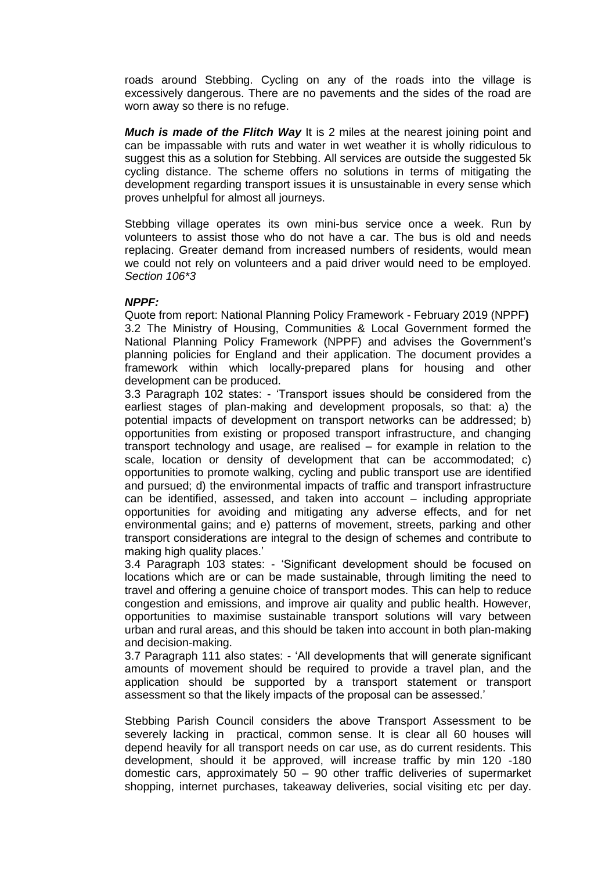roads around Stebbing. Cycling on any of the roads into the village is excessively dangerous. There are no pavements and the sides of the road are worn away so there is no refuge.

*Much is made of the Flitch Way* It is 2 miles at the nearest joining point and can be impassable with ruts and water in wet weather it is wholly ridiculous to suggest this as a solution for Stebbing. All services are outside the suggested 5k cycling distance. The scheme offers no solutions in terms of mitigating the development regarding transport issues it is unsustainable in every sense which proves unhelpful for almost all journeys.

Stebbing village operates its own mini-bus service once a week. Run by volunteers to assist those who do not have a car. The bus is old and needs replacing. Greater demand from increased numbers of residents, would mean we could not rely on volunteers and a paid driver would need to be employed. *Section 106\*3* 

#### *NPPF:*

Quote from report: National Planning Policy Framework - February 2019 (NPPF**)**  3.2 The Ministry of Housing, Communities & Local Government formed the National Planning Policy Framework (NPPF) and advises the Government's planning policies for England and their application. The document provides a framework within which locally-prepared plans for housing and other development can be produced.

3.3 Paragraph 102 states: - 'Transport issues should be considered from the earliest stages of plan-making and development proposals, so that: a) the potential impacts of development on transport networks can be addressed; b) opportunities from existing or proposed transport infrastructure, and changing transport technology and usage, are realised – for example in relation to the scale, location or density of development that can be accommodated; c) opportunities to promote walking, cycling and public transport use are identified and pursued; d) the environmental impacts of traffic and transport infrastructure can be identified, assessed, and taken into account – including appropriate opportunities for avoiding and mitigating any adverse effects, and for net environmental gains; and e) patterns of movement, streets, parking and other transport considerations are integral to the design of schemes and contribute to making high quality places.'

3.4 Paragraph 103 states: - 'Significant development should be focused on locations which are or can be made sustainable, through limiting the need to travel and offering a genuine choice of transport modes. This can help to reduce congestion and emissions, and improve air quality and public health. However, opportunities to maximise sustainable transport solutions will vary between urban and rural areas, and this should be taken into account in both plan-making and decision-making.

3.7 Paragraph 111 also states: - 'All developments that will generate significant amounts of movement should be required to provide a travel plan, and the application should be supported by a transport statement or transport assessment so that the likely impacts of the proposal can be assessed.'

Stebbing Parish Council considers the above Transport Assessment to be severely lacking in practical, common sense. It is clear all 60 houses will depend heavily for all transport needs on car use, as do current residents. This development, should it be approved, will increase traffic by min 120 -180 domestic cars, approximately 50 – 90 other traffic deliveries of supermarket shopping, internet purchases, takeaway deliveries, social visiting etc per day.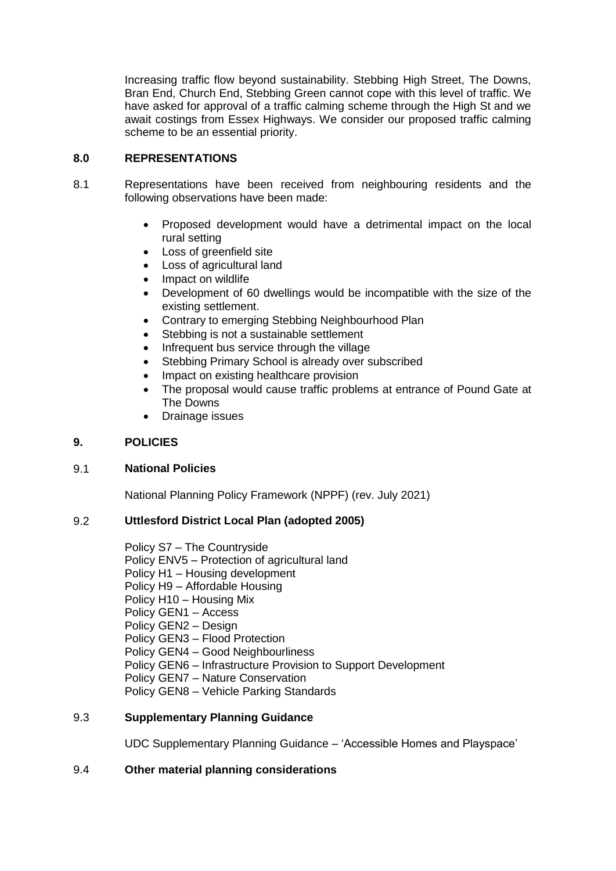Increasing traffic flow beyond sustainability. Stebbing High Street, The Downs, Bran End, Church End, Stebbing Green cannot cope with this level of traffic. We have asked for approval of a traffic calming scheme through the High St and we await costings from Essex Highways. We consider our proposed traffic calming scheme to be an essential priority.

## **8.0 REPRESENTATIONS**

- 8.1 Representations have been received from neighbouring residents and the following observations have been made:
	- Proposed development would have a detrimental impact on the local rural setting
	- Loss of greenfield site
	- Loss of agricultural land
	- Impact on wildlife
	- Development of 60 dwellings would be incompatible with the size of the existing settlement.
	- Contrary to emerging Stebbing Neighbourhood Plan
	- Stebbing is not a sustainable settlement
	- Infrequent bus service through the village
	- Stebbing Primary School is already over subscribed
	- Impact on existing healthcare provision
	- The proposal would cause traffic problems at entrance of Pound Gate at The Downs
	- Drainage issues

## **9. POLICIES**

## 9.1 **National Policies**

National Planning Policy Framework (NPPF) (rev. July 2021)

## 9.2 **Uttlesford District Local Plan (adopted 2005)**

Policy S7 – The Countryside Policy ENV5 – Protection of agricultural land Policy H1 – Housing development Policy H9 – Affordable Housing Policy H10 – Housing Mix Policy GEN1 – Access Policy GEN2 – Design Policy GEN3 – Flood Protection Policy GEN4 – Good Neighbourliness Policy GEN6 – Infrastructure Provision to Support Development Policy GEN7 – Nature Conservation Policy GEN8 – Vehicle Parking Standards

## 9.3 **Supplementary Planning Guidance**

UDC Supplementary Planning Guidance – 'Accessible Homes and Playspace'

## 9.4 **Other material planning considerations**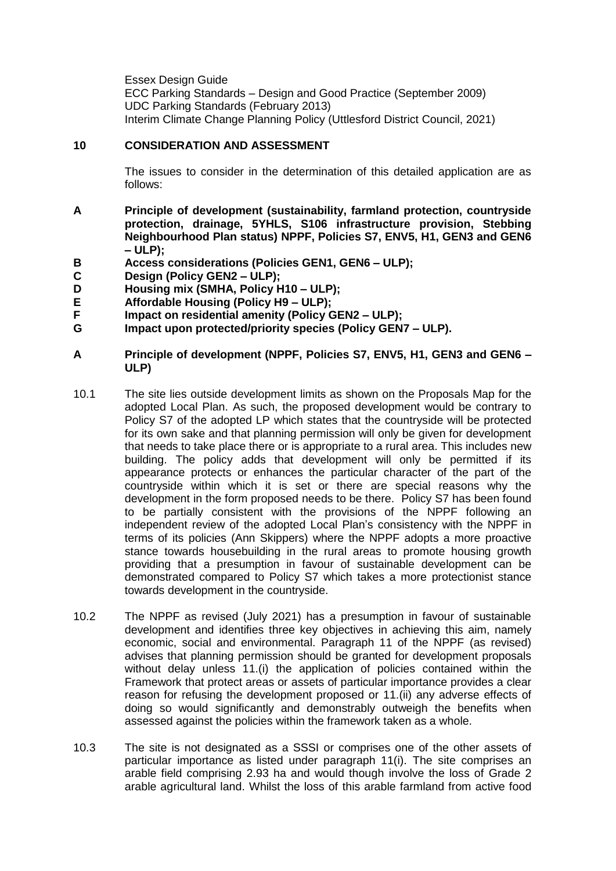Essex Design Guide ECC Parking Standards – Design and Good Practice (September 2009) UDC Parking Standards (February 2013) Interim Climate Change Planning Policy (Uttlesford District Council, 2021)

## **10 CONSIDERATION AND ASSESSMENT**

The issues to consider in the determination of this detailed application are as follows:

- **A Principle of development (sustainability, farmland protection, countryside protection, drainage, 5YHLS, S106 infrastructure provision, Stebbing Neighbourhood Plan status) NPPF, Policies S7, ENV5, H1, GEN3 and GEN6 – ULP);**
- **B Access considerations (Policies GEN1, GEN6 – ULP);**
- **C Design (Policy GEN2 – ULP);**
- **D Housing mix (SMHA, Policy H10 – ULP);**
- **E Affordable Housing (Policy H9 – ULP);**
- **F Impact on residential amenity (Policy GEN2 – ULP);**
- **G Impact upon protected/priority species (Policy GEN7 – ULP).**
- **A Principle of development (NPPF, Policies S7, ENV5, H1, GEN3 and GEN6 – ULP)**
- 10.1 The site lies outside development limits as shown on the Proposals Map for the adopted Local Plan. As such, the proposed development would be contrary to Policy S7 of the adopted LP which states that the countryside will be protected for its own sake and that planning permission will only be given for development that needs to take place there or is appropriate to a rural area. This includes new building. The policy adds that development will only be permitted if its appearance protects or enhances the particular character of the part of the countryside within which it is set or there are special reasons why the development in the form proposed needs to be there. Policy S7 has been found to be partially consistent with the provisions of the NPPF following an independent review of the adopted Local Plan's consistency with the NPPF in terms of its policies (Ann Skippers) where the NPPF adopts a more proactive stance towards housebuilding in the rural areas to promote housing growth providing that a presumption in favour of sustainable development can be demonstrated compared to Policy S7 which takes a more protectionist stance towards development in the countryside.
- 10.2 The NPPF as revised (July 2021) has a presumption in favour of sustainable development and identifies three key objectives in achieving this aim, namely economic, social and environmental. Paragraph 11 of the NPPF (as revised) advises that planning permission should be granted for development proposals without delay unless 11.(i) the application of policies contained within the Framework that protect areas or assets of particular importance provides a clear reason for refusing the development proposed or 11.(ii) any adverse effects of doing so would significantly and demonstrably outweigh the benefits when assessed against the policies within the framework taken as a whole.
- 10.3 The site is not designated as a SSSI or comprises one of the other assets of particular importance as listed under paragraph 11(i). The site comprises an arable field comprising 2.93 ha and would though involve the loss of Grade 2 arable agricultural land. Whilst the loss of this arable farmland from active food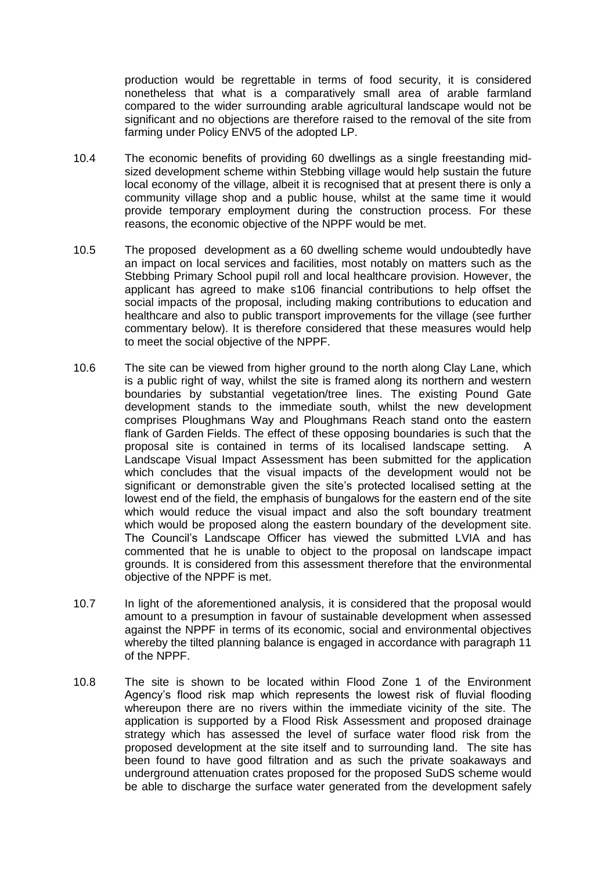production would be regrettable in terms of food security, it is considered nonetheless that what is a comparatively small area of arable farmland compared to the wider surrounding arable agricultural landscape would not be significant and no objections are therefore raised to the removal of the site from farming under Policy ENV5 of the adopted LP.

- 10.4 The economic benefits of providing 60 dwellings as a single freestanding midsized development scheme within Stebbing village would help sustain the future local economy of the village, albeit it is recognised that at present there is only a community village shop and a public house, whilst at the same time it would provide temporary employment during the construction process. For these reasons, the economic objective of the NPPF would be met.
- 10.5 The proposed development as a 60 dwelling scheme would undoubtedly have an impact on local services and facilities, most notably on matters such as the Stebbing Primary School pupil roll and local healthcare provision. However, the applicant has agreed to make s106 financial contributions to help offset the social impacts of the proposal, including making contributions to education and healthcare and also to public transport improvements for the village (see further commentary below). It is therefore considered that these measures would help to meet the social objective of the NPPF.
- 10.6 The site can be viewed from higher ground to the north along Clay Lane, which is a public right of way, whilst the site is framed along its northern and western boundaries by substantial vegetation/tree lines. The existing Pound Gate development stands to the immediate south, whilst the new development comprises Ploughmans Way and Ploughmans Reach stand onto the eastern flank of Garden Fields. The effect of these opposing boundaries is such that the proposal site is contained in terms of its localised landscape setting. A Landscape Visual Impact Assessment has been submitted for the application which concludes that the visual impacts of the development would not be significant or demonstrable given the site's protected localised setting at the lowest end of the field, the emphasis of bungalows for the eastern end of the site which would reduce the visual impact and also the soft boundary treatment which would be proposed along the eastern boundary of the development site. The Council's Landscape Officer has viewed the submitted LVIA and has commented that he is unable to object to the proposal on landscape impact grounds. It is considered from this assessment therefore that the environmental objective of the NPPF is met.
- 10.7 In light of the aforementioned analysis, it is considered that the proposal would amount to a presumption in favour of sustainable development when assessed against the NPPF in terms of its economic, social and environmental objectives whereby the tilted planning balance is engaged in accordance with paragraph 11 of the NPPF.
- 10.8 The site is shown to be located within Flood Zone 1 of the Environment Agency's flood risk map which represents the lowest risk of fluvial flooding whereupon there are no rivers within the immediate vicinity of the site. The application is supported by a Flood Risk Assessment and proposed drainage strategy which has assessed the level of surface water flood risk from the proposed development at the site itself and to surrounding land. The site has been found to have good filtration and as such the private soakaways and underground attenuation crates proposed for the proposed SuDS scheme would be able to discharge the surface water generated from the development safely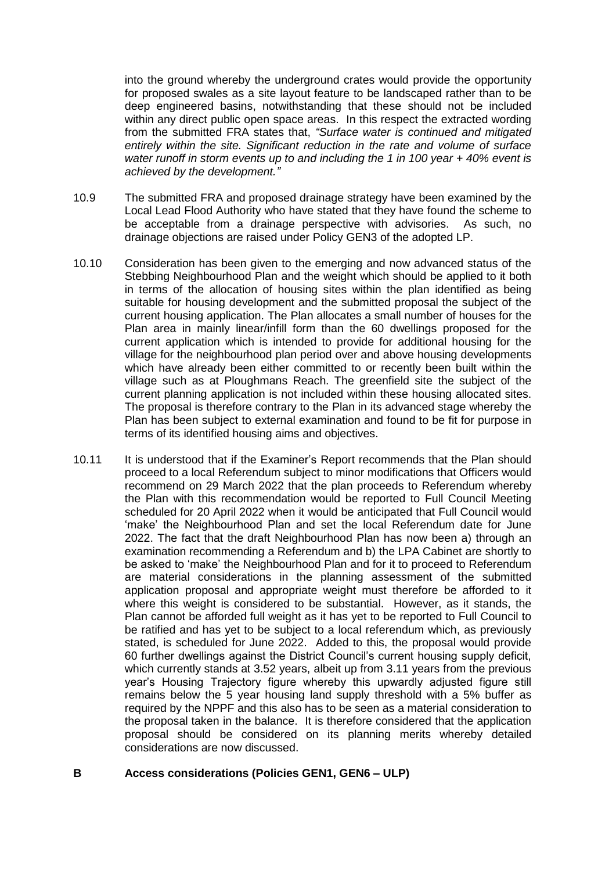into the ground whereby the underground crates would provide the opportunity for proposed swales as a site layout feature to be landscaped rather than to be deep engineered basins, notwithstanding that these should not be included within any direct public open space areas. In this respect the extracted wording from the submitted FRA states that, *"Surface water is continued and mitigated entirely within the site. Significant reduction in the rate and volume of surface water runoff in storm events up to and including the 1 in 100 year + 40% event is achieved by the development."*

- 10.9 The submitted FRA and proposed drainage strategy have been examined by the Local Lead Flood Authority who have stated that they have found the scheme to be acceptable from a drainage perspective with advisories. As such, no drainage objections are raised under Policy GEN3 of the adopted LP.
- 10.10 Consideration has been given to the emerging and now advanced status of the Stebbing Neighbourhood Plan and the weight which should be applied to it both in terms of the allocation of housing sites within the plan identified as being suitable for housing development and the submitted proposal the subject of the current housing application. The Plan allocates a small number of houses for the Plan area in mainly linear/infill form than the 60 dwellings proposed for the current application which is intended to provide for additional housing for the village for the neighbourhood plan period over and above housing developments which have already been either committed to or recently been built within the village such as at Ploughmans Reach. The greenfield site the subject of the current planning application is not included within these housing allocated sites. The proposal is therefore contrary to the Plan in its advanced stage whereby the Plan has been subject to external examination and found to be fit for purpose in terms of its identified housing aims and objectives.
- 10.11 It is understood that if the Examiner's Report recommends that the Plan should proceed to a local Referendum subject to minor modifications that Officers would recommend on 29 March 2022 that the plan proceeds to Referendum whereby the Plan with this recommendation would be reported to Full Council Meeting scheduled for 20 April 2022 when it would be anticipated that Full Council would 'make' the Neighbourhood Plan and set the local Referendum date for June 2022. The fact that the draft Neighbourhood Plan has now been a) through an examination recommending a Referendum and b) the LPA Cabinet are shortly to be asked to 'make' the Neighbourhood Plan and for it to proceed to Referendum are material considerations in the planning assessment of the submitted application proposal and appropriate weight must therefore be afforded to it where this weight is considered to be substantial. However, as it stands, the Plan cannot be afforded full weight as it has yet to be reported to Full Council to be ratified and has yet to be subject to a local referendum which, as previously stated, is scheduled for June 2022. Added to this, the proposal would provide 60 further dwellings against the District Council's current housing supply deficit, which currently stands at 3.52 years, albeit up from 3.11 years from the previous year's Housing Trajectory figure whereby this upwardly adjusted figure still remains below the 5 year housing land supply threshold with a 5% buffer as required by the NPPF and this also has to be seen as a material consideration to the proposal taken in the balance. It is therefore considered that the application proposal should be considered on its planning merits whereby detailed considerations are now discussed.

## **B Access considerations (Policies GEN1, GEN6 – ULP)**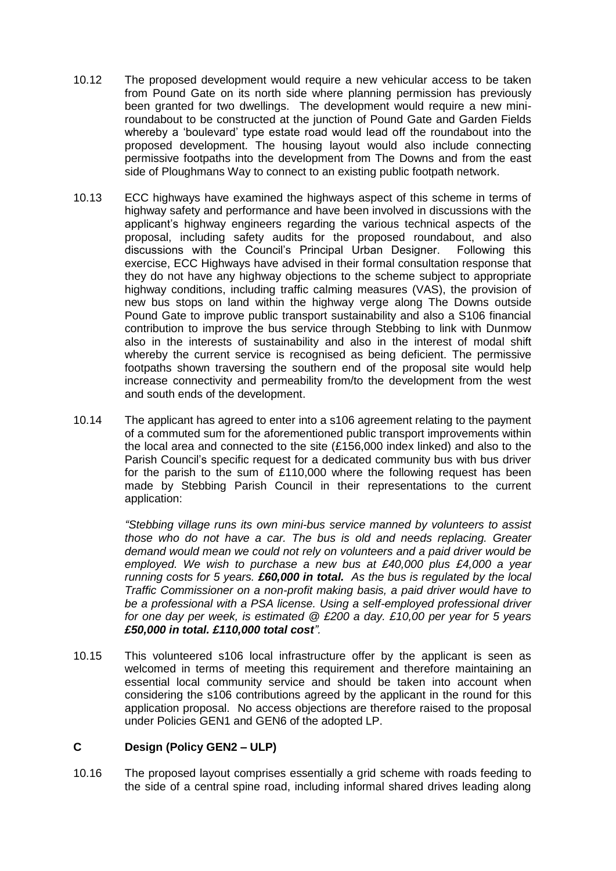- 10.12 The proposed development would require a new vehicular access to be taken from Pound Gate on its north side where planning permission has previously been granted for two dwellings. The development would require a new miniroundabout to be constructed at the junction of Pound Gate and Garden Fields whereby a 'boulevard' type estate road would lead off the roundabout into the proposed development. The housing layout would also include connecting permissive footpaths into the development from The Downs and from the east side of Ploughmans Way to connect to an existing public footpath network.
- 10.13 ECC highways have examined the highways aspect of this scheme in terms of highway safety and performance and have been involved in discussions with the applicant's highway engineers regarding the various technical aspects of the proposal, including safety audits for the proposed roundabout, and also discussions with the Council's Principal Urban Designer. Following this exercise, ECC Highways have advised in their formal consultation response that they do not have any highway objections to the scheme subject to appropriate highway conditions, including traffic calming measures (VAS), the provision of new bus stops on land within the highway verge along The Downs outside Pound Gate to improve public transport sustainability and also a S106 financial contribution to improve the bus service through Stebbing to link with Dunmow also in the interests of sustainability and also in the interest of modal shift whereby the current service is recognised as being deficient. The permissive footpaths shown traversing the southern end of the proposal site would help increase connectivity and permeability from/to the development from the west and south ends of the development.
- 10.14 The applicant has agreed to enter into a s106 agreement relating to the payment of a commuted sum for the aforementioned public transport improvements within the local area and connected to the site (£156,000 index linked) and also to the Parish Council's specific request for a dedicated community bus with bus driver for the parish to the sum of £110,000 where the following request has been made by Stebbing Parish Council in their representations to the current application:

*"Stebbing village runs its own mini-bus service manned by volunteers to assist those who do not have a car. The bus is old and needs replacing. Greater demand would mean we could not rely on volunteers and a paid driver would be employed. We wish to purchase a new bus at £40,000 plus £4,000 a year running costs for 5 years. £60,000 in total. As the bus is regulated by the local Traffic Commissioner on a non-profit making basis, a paid driver would have to be a professional with a PSA license. Using a self-employed professional driver for one day per week, is estimated @ £200 a day. £10,00 per year for 5 years £50,000 in total. £110,000 total cost".*

10.15 This volunteered s106 local infrastructure offer by the applicant is seen as welcomed in terms of meeting this requirement and therefore maintaining an essential local community service and should be taken into account when considering the s106 contributions agreed by the applicant in the round for this application proposal. No access objections are therefore raised to the proposal under Policies GEN1 and GEN6 of the adopted LP.

## **C Design (Policy GEN2 – ULP)**

10.16 The proposed layout comprises essentially a grid scheme with roads feeding to the side of a central spine road, including informal shared drives leading along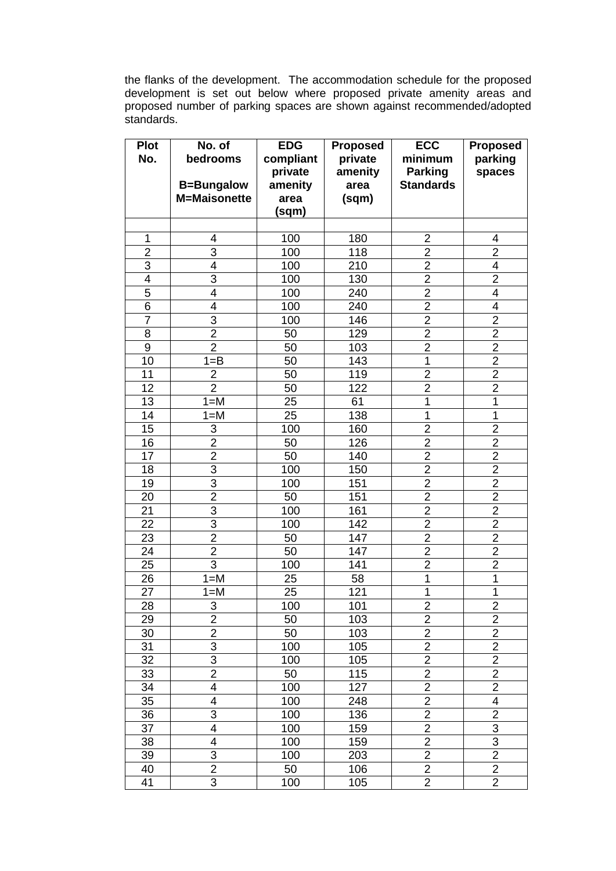the flanks of the development. The accommodation schedule for the proposed development is set out below where proposed private amenity areas and proposed number of parking spaces are shown against recommended/adopted standards.

| Plot             | No. of                  | <b>EDG</b> | <b>Proposed</b>  | <b>ECC</b>              | <b>Proposed</b>         |
|------------------|-------------------------|------------|------------------|-------------------------|-------------------------|
| No.              | bedrooms                | compliant  | private          | minimum                 | parking                 |
|                  |                         | private    | amenity          | <b>Parking</b>          | spaces                  |
|                  | <b>B=Bungalow</b>       | amenity    | area             | <b>Standards</b>        |                         |
|                  | <b>M=Maisonette</b>     | area       | (sqm)            |                         |                         |
|                  |                         | (sqm)      |                  |                         |                         |
|                  |                         |            |                  |                         |                         |
| 1                | 4                       | 100        | 180              | $\overline{2}$          | 4                       |
| $\overline{2}$   | $\overline{3}$          | 100        | 118              | $\overline{2}$          | $\overline{2}$          |
| $\overline{3}$   | 4                       | 100        | 210              | $\overline{2}$          | 4                       |
| $\overline{4}$   | $\overline{3}$          | 100        | 130              | $\overline{2}$          | $\overline{2}$          |
| 5                | 4                       | 100        | 240              | $\overline{2}$          | $\overline{4}$          |
| $\overline{6}$   | $\overline{4}$          | 100        | 240              | $\overline{2}$          | $\overline{4}$          |
| $\overline{7}$   | 3                       | 100        | 146              | $\overline{c}$          | $\overline{2}$          |
| 8                | $\overline{2}$          | 50         | 129              | $\overline{2}$          | $\overline{2}$          |
| $\boldsymbol{9}$ | $\overline{2}$          | 50         | 103              | $\overline{c}$          | $\overline{2}$          |
| 10               | $1 = B$                 | 50         | 143              | $\overline{1}$          | $\overline{2}$          |
| 11               | $\overline{2}$          | 50         | 119              | $\overline{2}$          | $\overline{2}$          |
| 12               | $\overline{2}$          | 50         | 122              | $\overline{2}$          | $\overline{2}$          |
| 13               | $1 = M$                 | 25         | 61               | $\mathbf 1$             | 1                       |
| 14               | $1 = M$                 | 25         | 138              | 1                       | 1                       |
| 15               | $\overline{3}$          | 100        | 160              | $\overline{2}$          | $\overline{2}$          |
| 16               | $\overline{2}$          | 50         | 126              | $\overline{2}$          | $\overline{2}$          |
| 17               | $\overline{2}$          | 50         | 140              | $\overline{2}$          | $\overline{2}$          |
| 18               | $\overline{3}$          | 100        | 150              | $\overline{\mathbf{c}}$ | $\overline{2}$          |
| 19               | $\overline{3}$          | 100        | 151              | $\overline{2}$          | $\overline{2}$          |
| 20               | $\overline{2}$          | 50         | 151              | $\overline{2}$          | $\overline{2}$          |
| 21               | $\overline{3}$          | 100        | 161              | $\overline{2}$          | $\overline{2}$          |
| 22               | 3                       | 100        | 142              | $\overline{\mathbf{c}}$ | $\boldsymbol{2}$        |
| 23               | $\overline{2}$          | 50         | 147              | $\overline{2}$          | $\overline{2}$          |
| 24               | $\overline{2}$          | 50         | 147              | $\overline{\mathbf{c}}$ | $\overline{2}$          |
| 25               | $\overline{3}$          | 100        | 141              | $\overline{2}$          | $\overline{2}$          |
| 26               | $1 = M$                 | 25         | 58               | $\mathbf{1}$            | 1                       |
| 27               | $1 = M$                 | 25         | $\overline{121}$ | $\mathbf 1$             | 1                       |
| 28               | 3                       | 100        | 101              | $\overline{c}$          | 2                       |
| 29               | $\overline{2}$          | 50         | 103              | $\overline{2}$          | $\overline{2}$          |
| 30               | $\overline{2}$          | 50         | 103              | $\overline{2}$          | $\overline{2}$          |
| 31               | $\overline{3}$          | 100        | 105              | $\overline{2}$          | $\overline{2}$          |
| 32               | $\overline{3}$          | 100        | 105              | $\overline{2}$          | $\overline{2}$          |
| 33               | $\overline{2}$          | 50         | 115              | $\overline{\mathbf{c}}$ | $\overline{c}$          |
| 34               | $\overline{\mathbf{4}}$ | 100        | 127              | $\overline{2}$          | $\overline{2}$          |
| 35               | 4                       | 100        | 248              | $\overline{\mathbf{c}}$ | 4                       |
| 36               | 3                       | 100        | 136              | $\overline{2}$          | $\overline{2}$          |
| 37               | 4                       | 100        | 159              | $\overline{2}$          | $\overline{3}$          |
| 38               | 4                       | 100        | 159              | $\overline{2}$          | $\overline{3}$          |
| 39               | 3                       | 100        | 203              | $\overline{2}$          | $\overline{2}$          |
| 40               | $\overline{c}$          | 50         | 106              | $\overline{2}$          | $\overline{\mathbf{c}}$ |
| 41               | $\overline{3}$          | 100        | 105              | $\overline{2}$          | $\overline{2}$          |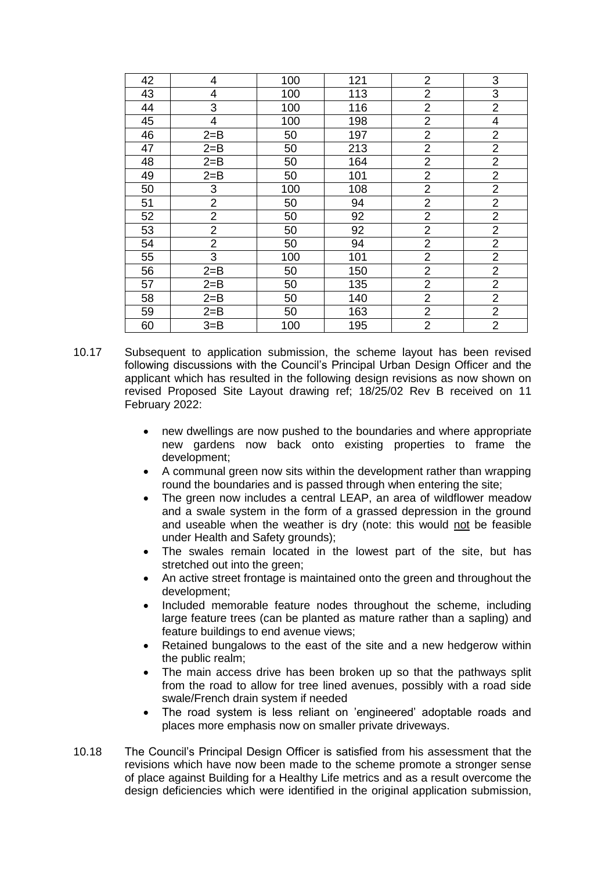| 42 | 4              | 100 | 121 | $\overline{2}$          | 3                        |
|----|----------------|-----|-----|-------------------------|--------------------------|
| 43 | 4              | 100 | 113 | $\overline{2}$          | $\mathsf 3$              |
| 44 | 3              | 100 | 116 | $\overline{2}$          | $\overline{2}$           |
| 45 | 4              | 100 | 198 | $\overline{2}$          | $\overline{\mathcal{A}}$ |
| 46 | $2 = B$        | 50  | 197 | $\overline{2}$          | $\overline{2}$           |
| 47 | $2 = B$        | 50  | 213 | $\overline{2}$          | $\overline{2}$           |
| 48 | $2 = B$        | 50  | 164 | $\overline{2}$          | $\overline{2}$           |
| 49 | $2 = B$        | 50  | 101 | $\overline{2}$          | $\overline{2}$           |
| 50 | 3              | 100 | 108 | $\overline{2}$          | $\overline{2}$           |
| 51 | $\mathbf 2$    | 50  | 94  | $\overline{\mathbf{c}}$ | $\overline{2}$           |
| 52 | $\overline{2}$ | 50  | 92  | $\overline{2}$          | $\overline{2}$           |
| 53 | $\overline{2}$ | 50  | 92  | $\overline{\mathbf{c}}$ | $\overline{2}$           |
| 54 | $\overline{2}$ | 50  | 94  | $\overline{2}$          | $\overline{2}$           |
| 55 | 3              | 100 | 101 | $\overline{2}$          | $\overline{2}$           |
| 56 | $2 = B$        | 50  | 150 | $\overline{\mathbf{c}}$ | $\overline{2}$           |
| 57 | $2 = B$        | 50  | 135 | $\overline{2}$          | $\overline{2}$           |
| 58 | $2 = B$        | 50  | 140 | $\overline{2}$          | $\overline{2}$           |
| 59 | $2 = B$        | 50  | 163 | $\overline{2}$          | $\overline{2}$           |
| 60 | $3 = B$        | 100 | 195 | $\overline{2}$          | $\overline{2}$           |

- 10.17 Subsequent to application submission, the scheme layout has been revised following discussions with the Council's Principal Urban Design Officer and the applicant which has resulted in the following design revisions as now shown on revised Proposed Site Layout drawing ref; 18/25/02 Rev B received on 11 February 2022:
	- new dwellings are now pushed to the boundaries and where appropriate new gardens now back onto existing properties to frame the development;
	- A communal green now sits within the development rather than wrapping round the boundaries and is passed through when entering the site;
	- The green now includes a central LEAP, an area of wildflower meadow and a swale system in the form of a grassed depression in the ground and useable when the weather is dry (note: this would not be feasible under Health and Safety grounds);
	- The swales remain located in the lowest part of the site, but has stretched out into the green;
	- An active street frontage is maintained onto the green and throughout the development;
	- Included memorable feature nodes throughout the scheme, including large feature trees (can be planted as mature rather than a sapling) and feature buildings to end avenue views;
	- Retained bungalows to the east of the site and a new hedgerow within the public realm;
	- The main access drive has been broken up so that the pathways split from the road to allow for tree lined avenues, possibly with a road side swale/French drain system if needed
	- The road system is less reliant on 'engineered' adoptable roads and places more emphasis now on smaller private driveways.
- 10.18 The Council's Principal Design Officer is satisfied from his assessment that the revisions which have now been made to the scheme promote a stronger sense of place against Building for a Healthy Life metrics and as a result overcome the design deficiencies which were identified in the original application submission,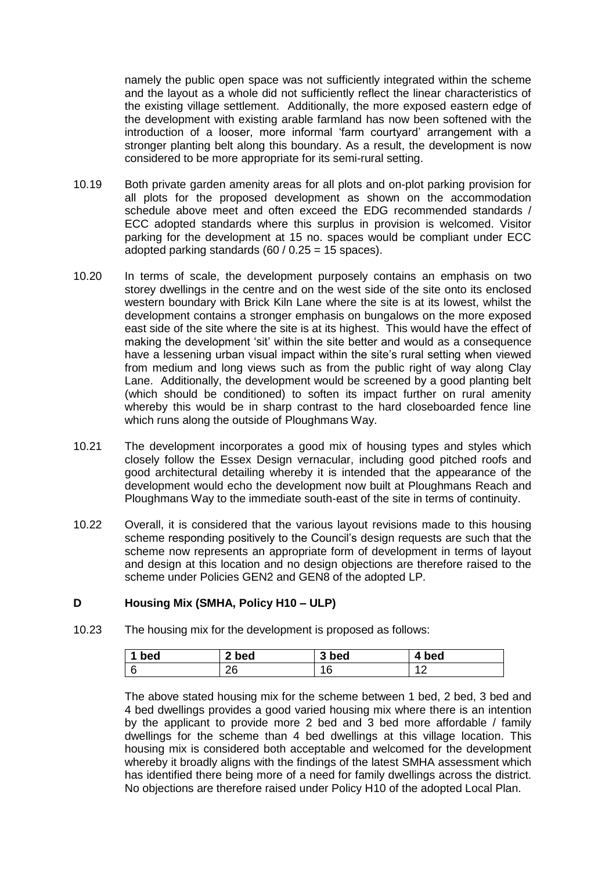namely the public open space was not sufficiently integrated within the scheme and the layout as a whole did not sufficiently reflect the linear characteristics of the existing village settlement. Additionally, the more exposed eastern edge of the development with existing arable farmland has now been softened with the introduction of a looser, more informal 'farm courtyard' arrangement with a stronger planting belt along this boundary. As a result, the development is now considered to be more appropriate for its semi-rural setting.

- 10.19 Both private garden amenity areas for all plots and on-plot parking provision for all plots for the proposed development as shown on the accommodation schedule above meet and often exceed the EDG recommended standards / ECC adopted standards where this surplus in provision is welcomed. Visitor parking for the development at 15 no. spaces would be compliant under ECC adopted parking standards  $(60 / 0.25 = 15$  spaces).
- 10.20 In terms of scale, the development purposely contains an emphasis on two storey dwellings in the centre and on the west side of the site onto its enclosed western boundary with Brick Kiln Lane where the site is at its lowest, whilst the development contains a stronger emphasis on bungalows on the more exposed east side of the site where the site is at its highest. This would have the effect of making the development 'sit' within the site better and would as a consequence have a lessening urban visual impact within the site's rural setting when viewed from medium and long views such as from the public right of way along Clay Lane. Additionally, the development would be screened by a good planting belt (which should be conditioned) to soften its impact further on rural amenity whereby this would be in sharp contrast to the hard closeboarded fence line which runs along the outside of Ploughmans Way.
- 10.21 The development incorporates a good mix of housing types and styles which closely follow the Essex Design vernacular, including good pitched roofs and good architectural detailing whereby it is intended that the appearance of the development would echo the development now built at Ploughmans Reach and Ploughmans Way to the immediate south-east of the site in terms of continuity.
- 10.22 Overall, it is considered that the various layout revisions made to this housing scheme responding positively to the Council's design requests are such that the scheme now represents an appropriate form of development in terms of layout and design at this location and no design objections are therefore raised to the scheme under Policies GEN2 and GEN8 of the adopted LP.

## **D Housing Mix (SMHA, Policy H10 – ULP)**

10.23 The housing mix for the development is proposed as follows:

| bed | 2 bed    | 3 bed     | bed            |
|-----|----------|-----------|----------------|
|     | ገፍ<br>∠ບ | 1 Q<br>טי | $\overline{ }$ |

The above stated housing mix for the scheme between 1 bed, 2 bed, 3 bed and 4 bed dwellings provides a good varied housing mix where there is an intention by the applicant to provide more 2 bed and 3 bed more affordable / family dwellings for the scheme than 4 bed dwellings at this village location. This housing mix is considered both acceptable and welcomed for the development whereby it broadly aligns with the findings of the latest SMHA assessment which has identified there being more of a need for family dwellings across the district. No objections are therefore raised under Policy H10 of the adopted Local Plan.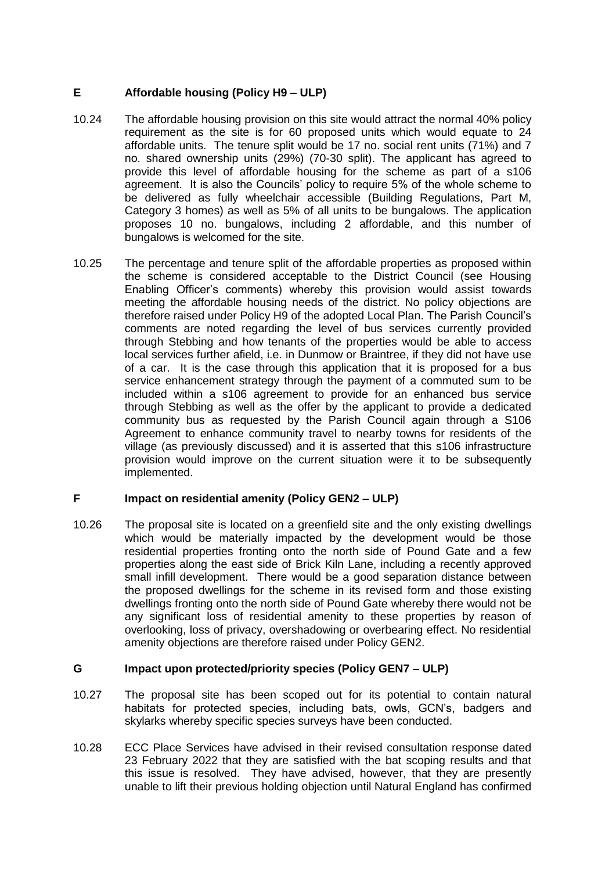# **E Affordable housing (Policy H9 – ULP)**

- 10.24 The affordable housing provision on this site would attract the normal 40% policy requirement as the site is for 60 proposed units which would equate to 24 affordable units. The tenure split would be 17 no. social rent units (71%) and 7 no. shared ownership units (29%) (70-30 split). The applicant has agreed to provide this level of affordable housing for the scheme as part of a s106 agreement. It is also the Councils' policy to require 5% of the whole scheme to be delivered as fully wheelchair accessible (Building Regulations, Part M, Category 3 homes) as well as 5% of all units to be bungalows. The application proposes 10 no. bungalows, including 2 affordable, and this number of bungalows is welcomed for the site.
- 10.25 The percentage and tenure split of the affordable properties as proposed within the scheme is considered acceptable to the District Council (see Housing Enabling Officer's comments) whereby this provision would assist towards meeting the affordable housing needs of the district. No policy objections are therefore raised under Policy H9 of the adopted Local Plan. The Parish Council's comments are noted regarding the level of bus services currently provided through Stebbing and how tenants of the properties would be able to access local services further afield, i.e. in Dunmow or Braintree, if they did not have use of a car. It is the case through this application that it is proposed for a bus service enhancement strategy through the payment of a commuted sum to be included within a s106 agreement to provide for an enhanced bus service through Stebbing as well as the offer by the applicant to provide a dedicated community bus as requested by the Parish Council again through a S106 Agreement to enhance community travel to nearby towns for residents of the village (as previously discussed) and it is asserted that this s106 infrastructure provision would improve on the current situation were it to be subsequently implemented.

# **F Impact on residential amenity (Policy GEN2 – ULP)**

10.26 The proposal site is located on a greenfield site and the only existing dwellings which would be materially impacted by the development would be those residential properties fronting onto the north side of Pound Gate and a few properties along the east side of Brick Kiln Lane, including a recently approved small infill development. There would be a good separation distance between the proposed dwellings for the scheme in its revised form and those existing dwellings fronting onto the north side of Pound Gate whereby there would not be any significant loss of residential amenity to these properties by reason of overlooking, loss of privacy, overshadowing or overbearing effect. No residential amenity objections are therefore raised under Policy GEN2.

## **G Impact upon protected/priority species (Policy GEN7 – ULP)**

- 10.27 The proposal site has been scoped out for its potential to contain natural habitats for protected species, including bats, owls, GCN's, badgers and skylarks whereby specific species surveys have been conducted.
- 10.28 ECC Place Services have advised in their revised consultation response dated 23 February 2022 that they are satisfied with the bat scoping results and that this issue is resolved. They have advised, however, that they are presently unable to lift their previous holding objection until Natural England has confirmed